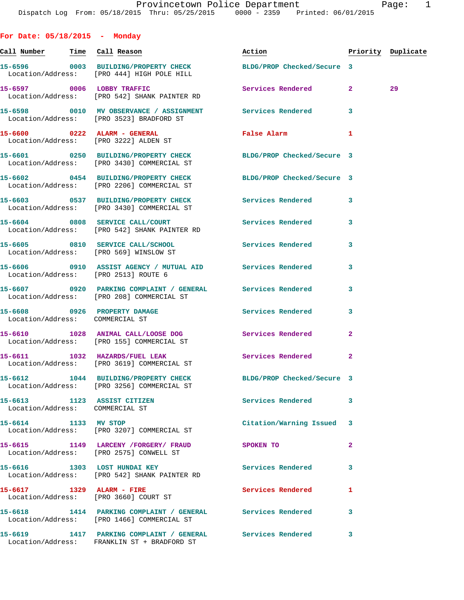| For Date: $05/18/2015$ - Monday                                |                                                                                                               |                          |              |                    |
|----------------------------------------------------------------|---------------------------------------------------------------------------------------------------------------|--------------------------|--------------|--------------------|
|                                                                |                                                                                                               | Action                   |              | Priority Duplicate |
|                                                                | 15-6596 0003 BUILDING/PROPERTY CHECK BLDG/PROP Checked/Secure 3<br>Location/Address: [PRO 444] HIGH POLE HILL |                          |              |                    |
|                                                                | 15-6597 0006 LOBBY TRAFFIC<br>Location/Address: [PRO 542] SHANK PAINTER RD                                    | Services Rendered 2      |              | 29                 |
|                                                                | 15-6598 0010 MV OBSERVANCE / ASSIGNMENT Services Rendered<br>Location/Address: [PRO 3523] BRADFORD ST         |                          | 3            |                    |
|                                                                | 15-6600 0222 ALARM - GENERAL<br>Location/Address: [PRO 3222] ALDEN ST                                         | False Alarm              | 1            |                    |
|                                                                | 15-6601 0250 BUILDING/PROPERTY CHECK BLDG/PROP Checked/Secure 3<br>Location/Address: [PRO 3430] COMMERCIAL ST |                          |              |                    |
|                                                                | 15-6602 0454 BUILDING/PROPERTY CHECK BLDG/PROP Checked/Secure 3<br>Location/Address: [PRO 2206] COMMERCIAL ST |                          |              |                    |
|                                                                | 15-6603 0537 BUILDING/PROPERTY CHECK Services Rendered<br>Location/Address: [PRO 3430] COMMERCIAL ST          |                          | $\mathbf{3}$ |                    |
|                                                                | 15-6604 0808 SERVICE CALL/COURT<br>Location/Address: [PRO 542] SHANK PAINTER RD                               | <b>Services Rendered</b> | 3            |                    |
| Location/Address: [PRO 569] WINSLOW ST                         | 15-6605 0810 SERVICE CALL/SCHOOL 5ervices Rendered                                                            |                          | 3            |                    |
| Location/Address: [PRO 2513] ROUTE 6                           | 15-6606 0910 ASSIST AGENCY / MUTUAL AID Services Rendered                                                     |                          | 3            |                    |
|                                                                | 15-6607 0920 PARKING COMPLAINT / GENERAL Services Rendered<br>Location/Address: [PRO 208] COMMERCIAL ST       |                          | 3            |                    |
| Location/Address: COMMERCIAL ST                                | 15-6608 0926 PROPERTY DAMAGE                                                                                  | <b>Services Rendered</b> | 3            |                    |
|                                                                | 15-6610 1028 ANIMAL CALL/LOOSE DOG Services Rendered<br>Location/Address: [PRO 155] COMMERCIAL ST             |                          | 2            |                    |
|                                                                | 15-6611 1032 HAZARDS/FUEL LEAK<br>Location/Address: [PRO 3619] COMMERCIAL ST                                  | Services Rendered        | $\mathbf{2}$ |                    |
|                                                                | 15-6612 1044 BUILDING/PROPERTY CHECK BLDG/PROP Checked/Secure 3<br>Location/Address: [PRO 3256] COMMERCIAL ST |                          |              |                    |
| 15-6613 1123 ASSIST CITIZEN<br>Location/Address: COMMERCIAL ST |                                                                                                               | Services Rendered        | 3            |                    |
| 15-6614 1133 MV STOP                                           | Location/Address: [PRO 3207] COMMERCIAL ST                                                                    | Citation/Warning Issued  | 3            |                    |
|                                                                | 15-6615 1149 LARCENY / FORGERY / FRAUD<br>Location/Address: [PRO 2575] CONWELL ST                             | SPOKEN TO                | 2            |                    |
|                                                                | 15-6616 1303 LOST HUNDAI KEY<br>Location/Address: [PRO 542] SHANK PAINTER RD                                  | Services Rendered        | 3            |                    |
| 15-6617 1329 ALARM - FIRE                                      | Location/Address: [PRO 3660] COURT ST                                                                         | <b>Services Rendered</b> | 1            |                    |
|                                                                | 15-6618 1414 PARKING COMPLAINT / GENERAL Services Rendered<br>Location/Address: [PRO 1466] COMMERCIAL ST      |                          | 3            |                    |
|                                                                | 15-6619 1417 PARKING COMPLAINT / GENERAL Services Rendered 3<br>Location/Address: FRANKLIN ST + BRADFORD ST   |                          |              |                    |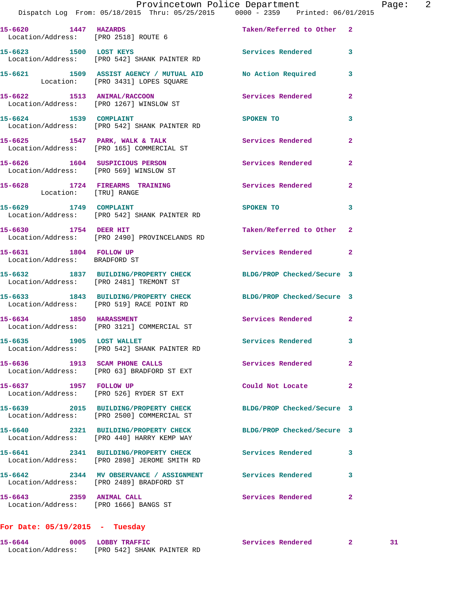|                                                         |      |                | Provincetown Police Department                                                 |                           |  |
|---------------------------------------------------------|------|----------------|--------------------------------------------------------------------------------|---------------------------|--|
|                                                         |      |                | Dispatch Log From: 05/18/2015 Thru: 05/25/2015 0000 - 2359 Printed: 06/01/2015 |                           |  |
| 15-6620<br>Location/Address: [PRO 2518] ROUTE 6         | 1447 | <b>HAZARDS</b> |                                                                                | Taken/Referred to Other 2 |  |
| 15-6623<br>Location/Address: [PRO 542] SHANK PAINTER RD | 1500 | LOST KEYS      |                                                                                | Services Rendered         |  |

**15-6621 1509 ASSIST AGENCY / MUTUAL AID No Action Required 3**  Location: [PRO 3431] LOPES SQUARE

**15-6622 1513 ANIMAL/RACCOON Services Rendered 2**  Location/Address: [PRO 1267] WINSLOW ST

**15-6624** 1539 COMPLAINT SPOKEN TO 3 Location/Address: [PRO 542] SHANK PAINTER RD

15-6625 1547 PARK, WALK & TALK **Services Rendered** 2 Location/Address: [PRO 165] COMMERCIAL ST

**15-6626 1604 SUSPICIOUS PERSON Services Rendered 2**  Location/Address: [PRO 569] WINSLOW ST

**15-6628 1724 FIREARMS TRAINING Services Rendered 2**  Location: [TRU] RANGE

**15-6629 1749 COMPLAINT SPOKEN TO** 3 Location/Address: [PRO 542] SHANK PAINTER RD

**15-6630 1754 DEER HIT Taken/Referred to Other 2**  Location/Address: [PRO 2490] PROVINCELANDS RD

15-6631 1804 FOLLOW UP **Services Rendered** 2 Location/Address: BRADFORD ST

**15-6632 1837 BUILDING/PROPERTY CHECK BLDG/PROP Checked/Secure 3**  Location/Address: [PRO 2481] TREMONT ST

**15-6633 1843 BUILDING/PROPERTY CHECK BLDG/PROP Checked/Secure 3**  Location/Address: [PRO 519] RACE POINT RD

**15-6634 1850 HARASSMENT Services Rendered 2**  Location/Address: [PRO 3121] COMMERCIAL ST

**15-6635 1905 LOST WALLET Services Rendered 3**  Location/Address: [PRO 542] SHANK PAINTER RD

**15-6636 1913 SCAM PHONE CALLS Services Rendered 2**  Location/Address: [PRO 63] BRADFORD ST EXT

**15-6637 1957 FOLLOW UP Could Not Locate 2**  Location/Address: [PRO 526] RYDER ST EXT

**15-6639 2015 BUILDING/PROPERTY CHECK BLDG/PROP Checked/Secure 3**  Location/Address: [PRO 2500] COMMERCIAL ST

**15-6640 2321 BUILDING/PROPERTY CHECK BLDG/PROP Checked/Secure 3**  Location/Address: [PRO 440] HARRY KEMP WAY

**15-6641 2341 BUILDING/PROPERTY CHECK Services Rendered 3**  Location/Address: [PRO 2898] JEROME SMITH RD

**15-6642 2344 MV OBSERVANCE / ASSIGNMENT Services Rendered 3**  Location/Address: [PRO 2489] BRADFORD ST

**15-6643 2359 ANIMAL CALL Services Rendered 2**  Location/Address: [PRO 1666] BANGS ST

## **For Date: 05/19/2015 - Tuesday**

**15-6644 0005 LOBBY TRAFFIC Services Rendered 2 31**  Location/Address: [PRO 542] SHANK PAINTER RD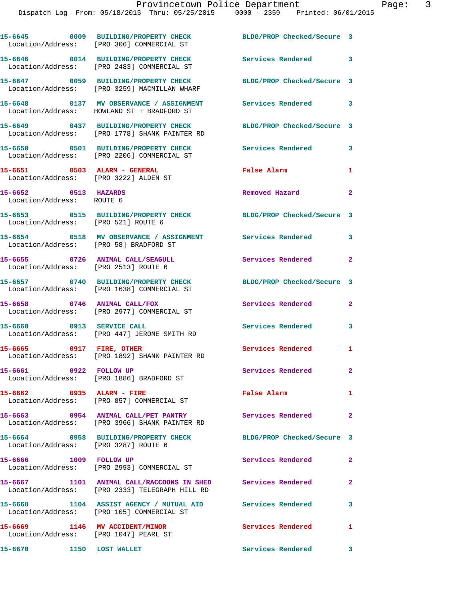|                                                                          | 15-6645 0009 BUILDING/PROPERTY CHECK<br>Location/Address: [PRO 306] COMMERCIAL ST                               | BLDG/PROP Checked/Secure 3 |              |
|--------------------------------------------------------------------------|-----------------------------------------------------------------------------------------------------------------|----------------------------|--------------|
|                                                                          | 15-6646 0014 BUILDING/PROPERTY CHECK<br>Location/Address: [PRO 2483] COMMERCIAL ST                              | <b>Services Rendered</b> 3 |              |
|                                                                          | 15-6647 0059 BUILDING/PROPERTY CHECK<br>Location/Address: [PRO 3259] MACMILLAN WHARF                            | BLDG/PROP Checked/Secure 3 |              |
|                                                                          | 15-6648 0137 MV OBSERVANCE / ASSIGNMENT<br>Location/Address: HOWLAND ST + BRADFORD ST                           | Services Rendered 3        |              |
|                                                                          | 15-6649 0437 BUILDING/PROPERTY CHECK<br>Location/Address: [PRO 1778] SHANK PAINTER RD                           | BLDG/PROP Checked/Secure 3 |              |
|                                                                          | 15-6650 0501 BUILDING/PROPERTY CHECK<br>Location/Address: [PRO 2206] COMMERCIAL ST                              | <b>Services Rendered</b>   | 3            |
| 15-6651 0503 ALARM - GENERAL                                             | Location/Address: [PRO 3222] ALDEN ST                                                                           | False Alarm                | 1            |
| 15-6652 0513 HAZARDS<br>Location/Address: ROUTE 6                        |                                                                                                                 | Removed Hazard             | $\mathbf{2}$ |
| Location/Address: [PRO 521] ROUTE 6                                      | 15-6653 0515 BUILDING/PROPERTY CHECK BLDG/PROP Checked/Secure 3                                                 |                            |              |
| Location/Address: [PRO 58] BRADFORD ST                                   | 15-6654 0518 MV OBSERVANCE / ASSIGNMENT Services Rendered                                                       |                            | 3            |
| 15-6655 0726 ANIMAL CALL/SEAGULL<br>Location/Address: [PRO 2513] ROUTE 6 |                                                                                                                 | Services Rendered          | $\mathbf{2}$ |
|                                                                          | 15-6657 0740 BUILDING/PROPERTY CHECK<br>Location/Address: [PRO 1638] COMMERCIAL ST                              | BLDG/PROP Checked/Secure 3 |              |
| 15-6658 0746 ANIMAL CALL/FOX                                             | Location/Address: [PRO 2977] COMMERCIAL ST                                                                      | Services Rendered          | $\mathbf{2}$ |
|                                                                          | 15-6660 0913 SERVICE CALL<br>Location/Address: [PRO 447] JEROME SMITH RD                                        | <b>Services Rendered</b>   | 3            |
| 15-6665 0917 FIRE, OTHER                                                 | Location/Address: [PRO 1892] SHANK PAINTER RD                                                                   | Services Rendered          | 1            |
| 15-6661 0922 FOLLOW UP                                                   | Location/Address: [PRO 1886] BRADFORD ST                                                                        | Services Rendered          | $\mathbf{2}$ |
| 15-6662 0935 ALARM - FIRE                                                | Location/Address: [PRO 857] COMMERCIAL ST                                                                       | False Alarm                | $\mathbf{1}$ |
|                                                                          | Location/Address: [PRO 3966] SHANK PAINTER RD                                                                   |                            | $\mathbf{2}$ |
| Location/Address: [PRO 3287] ROUTE 6                                     | 15-6664 0958 BUILDING/PROPERTY CHECK BLDG/PROP Checked/Secure 3                                                 |                            |              |
| 15-6666 1009 FOLLOW UP                                                   | Location/Address: [PRO 2993] COMMERCIAL ST                                                                      | Services Rendered          | $\mathbf{2}$ |
|                                                                          | 15-6667 1101 ANIMAL CALL/RACCOONS IN SHED Services Rendered 2<br>Location/Address: [PRO 2333] TELEGRAPH HILL RD |                            |              |
|                                                                          | 15-6668 1104 ASSIST AGENCY / MUTUAL AID Services Rendered<br>Location/Address: [PRO 105] COMMERCIAL ST          |                            | 3            |
| 15-6669 1146 MV ACCIDENT/MINOR<br>Location/Address: [PRO 1047] PEARL ST  |                                                                                                                 | Services Rendered 1        |              |
| 15-6670 1150 LOST WALLET                                                 |                                                                                                                 | Services Rendered 3        |              |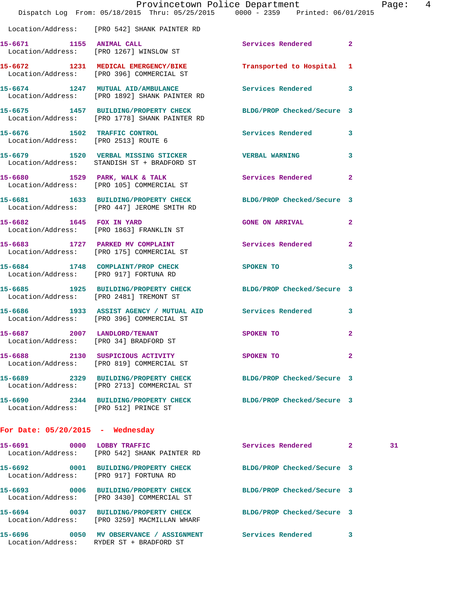|                                        | Dispatch Log From: 05/18/2015 Thru: 05/25/2015 0000 - 2359 Printed: 06/01/2015                                   | Provincetown Police Department          |                | Page: 4 |  |
|----------------------------------------|------------------------------------------------------------------------------------------------------------------|-----------------------------------------|----------------|---------|--|
|                                        | Location/Address: [PRO 542] SHANK PAINTER RD                                                                     |                                         |                |         |  |
|                                        | 15-6671 1155 ANIMAL CALL<br>Location/Address: [PRO 1267] WINSLOW ST                                              | Services Rendered 2                     |                |         |  |
|                                        | 15-6672 1231 MEDICAL EMERGENCY/BIKE Transported to Hospital 1<br>Location/Address: [PRO 396] COMMERCIAL ST       |                                         |                |         |  |
|                                        | 15-6674 1247 MUTUAL AID/AMBULANCE Services Rendered 3<br>Location/Address: [PRO 1892] SHANK PAINTER RD           |                                         |                |         |  |
|                                        | 15-6675 1457 BUILDING/PROPERTY CHECK BLDG/PROP Checked/Secure 3<br>Location/Address: [PRO 1778] SHANK PAINTER RD |                                         |                |         |  |
|                                        | 15-6676 1502 TRAFFIC CONTROL Services Rendered 3<br>Location/Address: [PRO 2513] ROUTE 6                         |                                         |                |         |  |
|                                        | 15-6679 1520 VERBAL MISSING STICKER VERBAL WARNING<br>Location/Address: STANDISH ST + BRADFORD ST                |                                         | 3              |         |  |
|                                        | 15-6680 1529 PARK, WALK & TALK 1988 Services Rendered<br>Location/Address: [PRO 105] COMMERCIAL ST               |                                         | $\mathbf{2}$   |         |  |
|                                        | 15-6681 1633 BUILDING/PROPERTY CHECK BLDG/PROP Checked/Secure 3<br>Location/Address: [PRO 447] JEROME SMITH RD   |                                         |                |         |  |
|                                        | 15-6682 1645 FOX IN YARD<br>Location/Address: [PRO 1863] FRANKLIN ST                                             | <b>GONE ON ARRIVAL</b>                  | $\mathbf{2}$   |         |  |
|                                        | 15-6683 1727 PARKED MV COMPLAINT Services Rendered<br>Location/Address: [PRO 175] COMMERCIAL ST                  |                                         | $\overline{2}$ |         |  |
| Location/Address: [PRO 917] FORTUNA RD | 15-6684 1748 COMPLAINT/PROP CHECK SPOKEN TO                                                                      |                                         | 3              |         |  |
|                                        | 15-6685 1925 BUILDING/PROPERTY CHECK BLDG/PROP Checked/Secure 3<br>Location/Address: [PRO 2481] TREMONT ST       |                                         |                |         |  |
|                                        | 15-6686 1933 ASSIST AGENCY / MUTUAL AID Services Rendered<br>Location/Address: [PRO 396] COMMERCIAL ST           |                                         | 3              |         |  |
| 15-6687 2007 LANDLORD/TENANT           | SPOKEN TO<br>Location/Address: [PRO 34] BRADFORD ST                                                              |                                         | $\mathbf{2}$   |         |  |
|                                        | 15-6688 2130 SUSPICIOUS ACTIVITY<br>Location/Address: [PRO 819] COMMERCIAL ST                                    | SPOKEN TO DESCRIPTION OF REAL PROPERTY. | $\mathbf{2}$   |         |  |
|                                        |                                                                                                                  | BLDG/PROP Checked/Secure 3              |                |         |  |
| Location/Address: [PRO 512] PRINCE ST  | 15-6690  2344 BUILDING/PROPERTY CHECK BLDG/PROP Checked/Secure 3                                                 |                                         |                |         |  |
| For Date: $05/20/2015$ - Wednesday     |                                                                                                                  |                                         |                |         |  |
|                                        | 15-6691 0000 LOBBY TRAFFIC<br>Location/Address: [PRO 542] SHANK PAINTER RD                                       | Services Rendered 2                     |                | 31      |  |
| Location/Address: [PRO 917] FORTUNA RD | 15-6692 0001 BUILDING/PROPERTY CHECK                                                                             | BLDG/PROP Checked/Secure 3              |                |         |  |
|                                        | 15-6693 0006 BUILDING/PROPERTY CHECK<br>Location/Address: [PRO 3430] COMMERCIAL ST                               | BLDG/PROP Checked/Secure 3              |                |         |  |
|                                        | 15-6694 0037 BUILDING/PROPERTY CHECK BLDG/PROP Checked/Secure 3<br>Location/Address: [PRO 3259] MACMILLAN WHARF  |                                         |                |         |  |
|                                        | 15-6696 0050 MV OBSERVANCE / ASSIGNMENT Services Rendered<br>Location/Address: RYDER ST + BRADFORD ST            |                                         | 3              |         |  |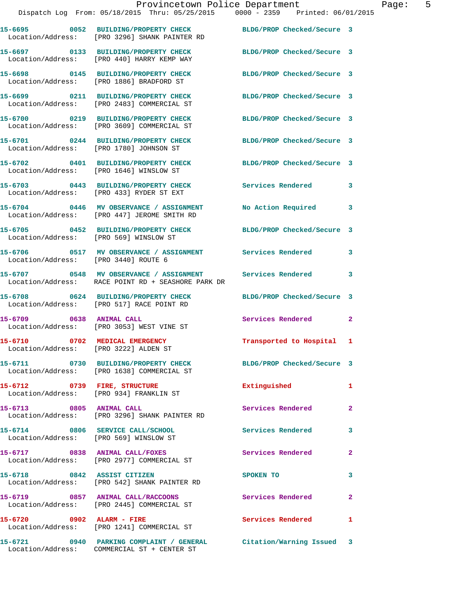|                                                                         | Dispatch Log From: 05/18/2015 Thru: 05/25/2015 0000 - 2359 Printed: 06/01/2015                                   | Provincetown Police Department Fage: 5 |              |
|-------------------------------------------------------------------------|------------------------------------------------------------------------------------------------------------------|----------------------------------------|--------------|
|                                                                         | 15-6695 0052 BUILDING/PROPERTY CHECK BLDG/PROP Checked/Secure 3<br>Location/Address: [PRO 3296] SHANK PAINTER RD |                                        |              |
|                                                                         | 15-6697 0133 BUILDING/PROPERTY CHECK BLDG/PROP Checked/Secure 3<br>Location/Address: [PRO 440] HARRY KEMP WAY    |                                        |              |
|                                                                         | 15-6698 0145 BUILDING/PROPERTY CHECK BLDG/PROP Checked/Secure 3<br>Location/Address: [PRO 1886] BRADFORD ST      |                                        |              |
|                                                                         | 15-6699 0211 BUILDING/PROPERTY CHECK BLDG/PROP Checked/Secure 3<br>Location/Address: [PRO 2483] COMMERCIAL ST    |                                        |              |
|                                                                         | 15-6700 0219 BUILDING/PROPERTY CHECK BLDG/PROP Checked/Secure 3<br>Location/Address: [PRO 3609] COMMERCIAL ST    |                                        |              |
|                                                                         | 15-6701 0244 BUILDING/PROPERTY CHECK BLDG/PROP Checked/Secure 3<br>Location/Address: [PRO 1780] JOHNSON ST       |                                        |              |
|                                                                         | 15-6702 0401 BUILDING/PROPERTY CHECK BLDG/PROP Checked/Secure 3<br>Location/Address: [PRO 1646] WINSLOW ST       |                                        |              |
|                                                                         | 15-6703 0443 BUILDING/PROPERTY CHECK Services Rendered<br>Location/Address: [PRO 433] RYDER ST EXT               |                                        | 3            |
|                                                                         | 15-6704 0446 MV OBSERVANCE / ASSIGNMENT No Action Required 3<br>Location/Address: [PRO 447] JEROME SMITH RD      |                                        |              |
| Location/Address: [PRO 569] WINSLOW ST                                  | 15-6705 0452 BUILDING/PROPERTY CHECK BLDG/PROP Checked/Secure 3                                                  |                                        |              |
| Location/Address: [PRO 3440] ROUTE 6                                    | 15-6706 0517 MV OBSERVANCE / ASSIGNMENT Services Rendered 3                                                      |                                        |              |
|                                                                         | 15-6707 0548 MV OBSERVANCE / ASSIGNMENT Services Rendered<br>Location/Address: RACE POINT RD + SEASHORE PARK DR  |                                        | 3            |
|                                                                         | 15-6708 0624 BUILDING/PROPERTY CHECK BLDG/PROP Checked/Secure 3<br>Location/Address: [PRO 517] RACE POINT RD     |                                        |              |
|                                                                         | 15-6709 0638 ANIMAL CALL<br>Location/Address: [PRO 3053] WEST VINE ST                                            | Services Rendered 2                    |              |
| 15-6710 0702 MEDICAL EMERGENCY<br>Location/Address: [PRO 3222] ALDEN ST |                                                                                                                  | Transported to Hospital 1              |              |
|                                                                         | 15-6711 0730 BUILDING/PROPERTY CHECK BLDG/PROP Checked/Secure 3<br>Location/Address: [PRO 1638] COMMERCIAL ST    |                                        |              |
|                                                                         | 15-6712 0739 FIRE, STRUCTURE<br>Location/Address: [PRO 934] FRANKLIN ST                                          | Extinguished                           | 1            |
|                                                                         | 15-6713 0805 ANIMAL CALL<br>Location/Address: [PRO 3296] SHANK PAINTER RD                                        | Services Rendered                      | $\mathbf{2}$ |
|                                                                         | 15-6714 0806 SERVICE CALL/SCHOOL<br>Location/Address: [PRO 569] WINSLOW ST                                       | Services Rendered                      | $\mathbf{3}$ |
|                                                                         | 15-6717 0838 ANIMAL CALL/FOXES<br>Location/Address: [PRO 2977] COMMERCIAL ST                                     | Services Rendered                      | $\mathbf{2}$ |
|                                                                         | 15-6718 0842 ASSIST CITIZEN<br>Location/Address: [PRO 542] SHANK PAINTER RD                                      | SPOKEN TO                              | 3            |
|                                                                         | 15-6719 0857 ANIMAL CALL/RACCOONS Services Rendered<br>Location/Address: [PRO 2445] COMMERCIAL ST                |                                        | 2            |
| $15-6720$ 0902 ALARM - FIRE                                             | Location/Address: [PRO 1241] COMMERCIAL ST                                                                       | Services Rendered                      | 1            |
|                                                                         |                                                                                                                  |                                        |              |

Location/Address: COMMERCIAL ST + CENTER ST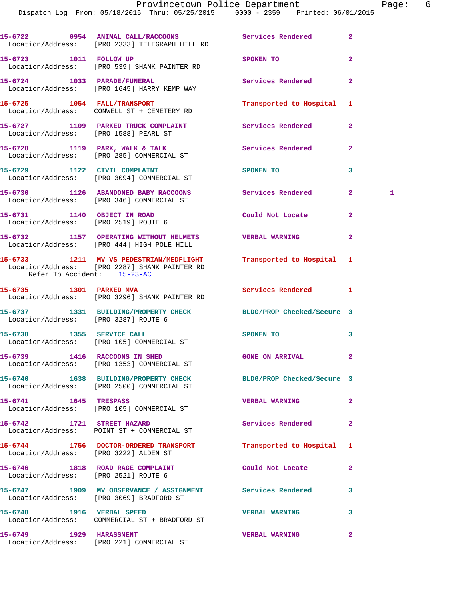**15-6722 0954 ANIMAL CALL/RACCOONS Services Rendered 2**  Location/Address: [PRO 2333] TELEGRAPH HILL RD **15-6723 1011 FOLLOW UP SPOKEN TO 2**  Location/Address: [PRO 539] SHANK PAINTER RD **15-6724 1033 PARADE/FUNERAL Services Rendered 2**  Location/Address: [PRO 1645] HARRY KEMP WAY **15-6725 1054 FALL/TRANSPORT Transported to Hospital 1**  Location/Address: CONWELL ST + CEMETERY RD **15-6727 1109 PARKED TRUCK COMPLAINT Services Rendered 2**  Location/Address: [PRO 1588] PEARL ST 15-6728 1119 PARK, WALK & TALK Services Rendered 2 Location/Address: [PRO 285] COMMERCIAL ST **15-6729 1122 CIVIL COMPLAINT SPOKEN TO 3**  Location/Address: [PRO 3094] COMMERCIAL ST **15-6730 1126 ABANDONED BABY RACCOONS Services Rendered 2 1**  Location/Address: [PRO 346] COMMERCIAL ST **15-6731 1140 OBJECT IN ROAD Could Not Locate 2**  Location/Address: [PRO 2519] ROUTE 6 **15-6732 1157 OPERATING WITHOUT HELMETS VERBAL WARNING 2**  Location/Address: [PRO 444] HIGH POLE HILL **15-6733 1211 MV VS PEDESTRIAN/MEDFLIGHT Transported to Hospital 1**  Location/Address: [PRO 2287] SHANK PAINTER RD Refer To Accident: 15-23-AC **15-6735 1301 PARKED MVA Services Rendered 1**  Location/Address: [PRO 3296] SHANK PAINTER RD **15-6737 1331 BUILDING/PROPERTY CHECK BLDG/PROP Checked/Secure 3**  Location/Address: [PRO 3287] ROUTE 6 15-6738 1355 SERVICE CALL **SPOKEN TO 3**  Location/Address: [PRO 105] COMMERCIAL ST **15-6739 1416 RACCOONS IN SHED GONE ON ARRIVAL 2**  Location/Address: [PRO 1353] COMMERCIAL ST **15-6740 1638 BUILDING/PROPERTY CHECK BLDG/PROP Checked/Secure 3**  Location/Address: [PRO 2500] COMMERCIAL ST **15-6741 1645 TRESPASS VERBAL WARNING 2**  Location/Address: [PRO 105] COMMERCIAL ST **15-6742 1721 STREET HAZARD Services Rendered 2**  Location/Address: POINT ST + COMMERCIAL ST **15-6744 1756 DOCTOR-ORDERED TRANSPORT Transported to Hospital 1**  Location/Address: [PRO 3222] ALDEN ST **15-6746 1818 ROAD RAGE COMPLAINT Could Not Locate 2**  Location/Address: [PRO 2521] ROUTE 6 **15-6747 1909 MV OBSERVANCE / ASSIGNMENT Services Rendered 3**  Location/Address: [PRO 3069] BRADFORD ST **15-6748 1916 VERBAL SPEED VERBAL WARNING 3**  Location/Address: COMMERCIAL ST + BRADFORD ST **15-6749 1929 HARASSMENT VERBAL WARNING 2**  Location/Address: [PRO 221] COMMERCIAL ST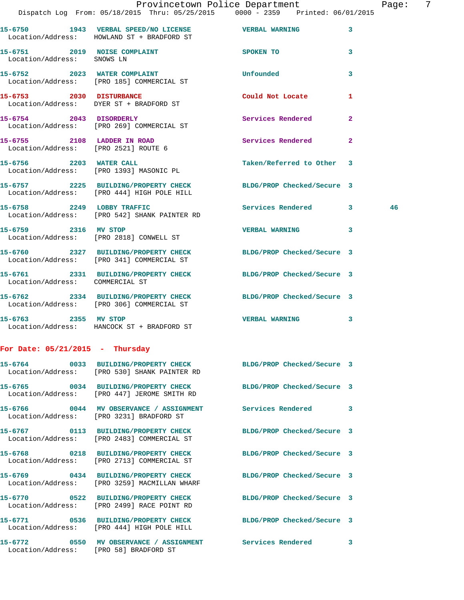|                                   |                                                                                                                 | Provincetown Police Department<br>Dispatch Log From: 05/18/2015 Thru: 05/25/2015 0000 - 2359 Printed: 06/01/2015 | Page: 7 |  |
|-----------------------------------|-----------------------------------------------------------------------------------------------------------------|------------------------------------------------------------------------------------------------------------------|---------|--|
|                                   |                                                                                                                 |                                                                                                                  |         |  |
|                                   | 15-6750 1943 VERBAL SPEED/NO LICENSE WERBAL WARNING 3<br>Location/Address: HOWLAND ST + BRADFORD ST             |                                                                                                                  |         |  |
| Location/Address: SNOWS LN        | 15-6751 2019 NOISE COMPLAINT SPOKEN TO                                                                          | 3                                                                                                                |         |  |
|                                   | 15-6752 2023 WATER COMPLAINT<br>Location/Address: [PRO 185] COMMERCIAL ST                                       | Unfounded<br>3                                                                                                   |         |  |
|                                   | 15-6753 2030 DISTURBANCE<br>Location/Address: DYER ST + BRADFORD ST                                             | Could Not Locate<br>1                                                                                            |         |  |
|                                   | 15-6754 2043 DISORDERLY<br>Location/Address: [PRO 269] COMMERCIAL ST                                            | Services Rendered 2                                                                                              |         |  |
|                                   | 15-6755 2108 LADDER IN ROAD<br>Location/Address: [PRO 2521] ROUTE 6                                             | Services Rendered<br>$\mathbf{2}$                                                                                |         |  |
|                                   | 15-6756 2203 WATER CALL<br>Location/Address: [PRO 1393] MASONIC PL                                              | Taken/Referred to Other 3                                                                                        |         |  |
|                                   | 15-6757 2225 BUILDING/PROPERTY CHECK BLDG/PROP Checked/Secure 3<br>Location/Address: [PRO 444] HIGH POLE HILL   |                                                                                                                  |         |  |
|                                   | 15-6758 2249 LOBBY TRAFFIC<br>Location/Address: [PRO 542] SHANK PAINTER RD                                      | Services Rendered 3                                                                                              | 46      |  |
|                                   | 15-6759 2316 MV STOP<br>Location/Address: [PRO 2818] CONWELL ST                                                 | VERBAL WARNING 3                                                                                                 |         |  |
|                                   | 15-6760 2327 BUILDING/PROPERTY CHECK BLDG/PROP Checked/Secure 3<br>Location/Address: [PRO 341] COMMERCIAL ST    |                                                                                                                  |         |  |
| Location/Address: COMMERCIAL ST   | 15-6761 2331 BUILDING/PROPERTY CHECK BLDG/PROP Checked/Secure 3                                                 |                                                                                                                  |         |  |
|                                   | 15-6762 2334 BUILDING/PROPERTY CHECK BLDG/PROP Checked/Secure 3<br>Location/Address: [PRO 306] COMMERCIAL ST    |                                                                                                                  |         |  |
|                                   | 15-6763 2355 MV STOP<br>Location/Address: HANCOCK ST + BRADFORD ST                                              | <b>VERBAL WARNING</b><br>$\mathbf{3}$                                                                            |         |  |
| For Date: $05/21/2015$ - Thursday |                                                                                                                 |                                                                                                                  |         |  |
|                                   | 15-6764 0033 BUILDING/PROPERTY CHECK BLDG/PROP Checked/Secure 3<br>Location/Address: [PRO 530] SHANK PAINTER RD |                                                                                                                  |         |  |
|                                   | 15-6765 0034 BUILDING/PROPERTY CHECK<br>Location/Address: [PRO 447] JEROME SMITH RD                             | BLDG/PROP Checked/Secure 3                                                                                       |         |  |
|                                   | 15-6766 0044 MV OBSERVANCE / ASSIGNMENT Services Rendered 3<br>Location/Address: [PRO 3231] BRADFORD ST         |                                                                                                                  |         |  |
|                                   | 15-6767 0113 BUILDING/PROPERTY CHECK BLDG/PROP Checked/Secure 3<br>Location/Address: [PRO 2483] COMMERCIAL ST   |                                                                                                                  |         |  |
|                                   | 15-6768 0218 BUILDING/PROPERTY CHECK BLDG/PROP Checked/Secure 3<br>Location/Address: [PRO 2713] COMMERCIAL ST   |                                                                                                                  |         |  |
|                                   | 15-6769 0434 BUILDING/PROPERTY CHECK<br>Location/Address: [PRO 3259] MACMILLAN WHARF                            | BLDG/PROP Checked/Secure 3                                                                                       |         |  |
|                                   | 15-6770 0522 BUILDING/PROPERTY CHECK<br>Location/Address: [PRO 2499] RACE POINT RD                              | BLDG/PROP Checked/Secure 3                                                                                       |         |  |
|                                   | 15-6771 0536 BUILDING/PROPERTY CHECK BLDG/PROP Checked/Secure 3<br>Location/Address: [PRO 444] HIGH POLE HILL   |                                                                                                                  |         |  |
|                                   | 15-6772 0550 MV OBSERVANCE / ASSIGNMENT Services Rendered 3<br>Location/Address: [PRO 58] BRADFORD ST           |                                                                                                                  |         |  |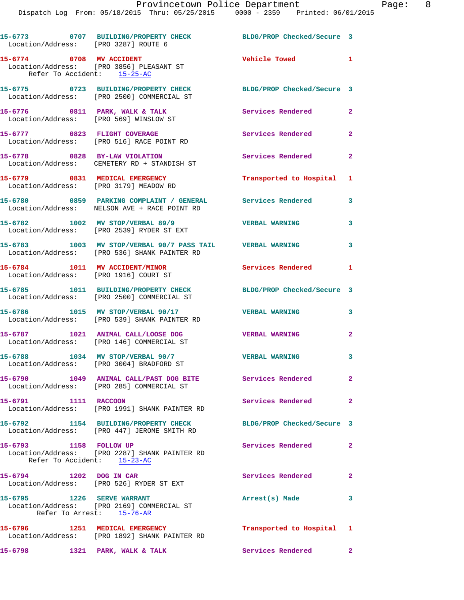|                                                       | 15-6773 0707 BUILDING/PROPERTY CHECK BLDG/PROP Checked/Secure 3<br>Location/Address: [PRO 3287] ROUTE 6   |                            |                         |
|-------------------------------------------------------|-----------------------------------------------------------------------------------------------------------|----------------------------|-------------------------|
| Refer To Accident: 15-25-AC                           | 15-6774 0708 MV ACCIDENT<br>Location/Address: [PRO 3856] PLEASANT ST                                      | Vehicle Towed 1            |                         |
|                                                       | 15-6775 0723 BUILDING/PROPERTY CHECK<br>Location/Address: [PRO 2500] COMMERCIAL ST                        | BLDG/PROP Checked/Secure 3 |                         |
|                                                       | 15-6776 0811 PARK, WALK & TALK<br>Location/Address: [PRO 569] WINSLOW ST                                  | Services Rendered          | $\mathbf{2}$            |
|                                                       | 15-6777 0823 FLIGHT COVERAGE<br>Location/Address: [PRO 516] RACE POINT RD                                 | Services Rendered 2        |                         |
|                                                       | 15-6778 0828 BY-LAW VIOLATION<br>Location/Address: CEMETERY RD + STANDISH ST                              | Services Rendered          | $\overline{\mathbf{2}}$ |
|                                                       | 15-6779 0831 MEDICAL EMERGENCY<br>Location/Address: [PRO 3179] MEADOW RD                                  | Transported to Hospital 1  |                         |
|                                                       | 15-6780 0859 PARKING COMPLAINT / GENERAL<br>Location/Address: NELSON AVE + RACE POINT RD                  | Services Rendered          | 3                       |
|                                                       | 15-6782 1002 MV STOP/VERBAL 89/9<br>Location/Address: [PRO 2539] RYDER ST EXT                             | <b>VERBAL WARNING</b>      | 3                       |
|                                                       | 15-6783 1003 MV STOP/VERBAL 90/7 PASS TAIL VERBAL WARNING<br>Location/Address: [PRO 536] SHANK PAINTER RD |                            | 3                       |
|                                                       | 15-6784 1011 MV ACCIDENT/MINOR<br>Location/Address: [PRO 1916] COURT ST                                   | Services Rendered 1        |                         |
|                                                       | 15-6785 1011 BUILDING/PROPERTY CHECK<br>Location/Address: [PRO 2500] COMMERCIAL ST                        | BLDG/PROP Checked/Secure 3 |                         |
|                                                       | 15-6786 1015 MV STOP/VERBAL 90/17<br>Location/Address: [PRO 539] SHANK PAINTER RD                         | <b>VERBAL WARNING</b>      | 3                       |
|                                                       | 15-6787 1021 ANIMAL CALL/LOOSE DOG<br>Location/Address: [PRO 146] COMMERCIAL ST                           | <b>VERBAL WARNING</b>      | $\overline{a}$          |
|                                                       | 15-6788 1034 MV STOP/VERBAL 90/7<br>Location/Address: [PRO 3004] BRADFORD ST                              | <b>VERBAL WARNING</b>      | 3                       |
|                                                       | 15-6790 1049 ANIMAL CALL/PAST DOG BITE Services Rendered 2<br>Location/Address: [PRO 285] COMMERCIAL ST   |                            |                         |
| 15-6791 1111 RACCOON                                  | Location/Address: [PRO 1991] SHANK PAINTER RD                                                             | Services Rendered          | $\mathbf{2}$            |
|                                                       | 15-6792 1154 BUILDING/PROPERTY CHECK<br>Location/Address: [PRO 447] JEROME SMITH RD                       | BLDG/PROP Checked/Secure 3 |                         |
| 15-6793 1158 FOLLOW UP<br>Refer To Accident: 15-23-AC | Location/Address: [PRO 2287] SHANK PAINTER RD                                                             | Services Rendered          | $\mathbf{2}$            |
| 15-6794 1202 DOG IN CAR                               | Location/Address: [PRO 526] RYDER ST EXT                                                                  | <b>Services Rendered</b>   | $\mathbf{2}$            |
| 15-6795 1226 SERVE WARRANT                            | Location/Address: [PRO 2169] COMMERCIAL ST<br>Refer To Arrest: 15-76-AR                                   | Arrest(s) Made             | 3                       |
|                                                       | 15-6796 1251 MEDICAL EMERGENCY<br>Location/Address: [PRO 1892] SHANK PAINTER RD                           | Transported to Hospital 1  |                         |
|                                                       | 15-6798 1321 PARK, WALK & TALK                                                                            | <b>Services Rendered</b>   | $\mathbf{2}$            |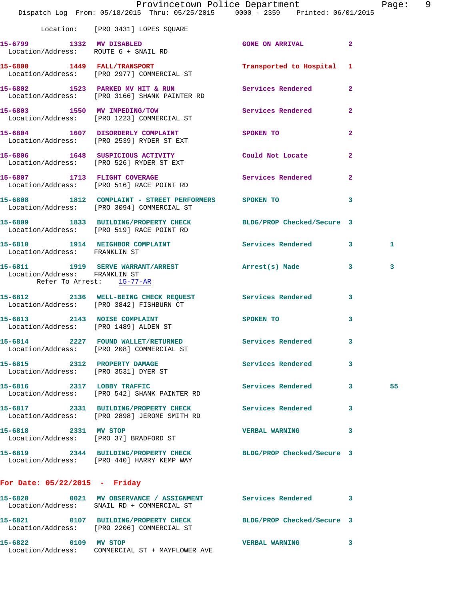|                                                            | Provincetown Police Department<br>Dispatch Log From: 05/18/2015 Thru: 05/25/2015 0000 - 2359 Printed: 06/01/2015 |                           |                | Page: 9 |  |
|------------------------------------------------------------|------------------------------------------------------------------------------------------------------------------|---------------------------|----------------|---------|--|
|                                                            | Location: [PRO 3431] LOPES SQUARE                                                                                |                           |                |         |  |
|                                                            | 15-6799 1332 MV DISABLED<br>Location/Address: ROUTE 6 + SNAIL RD                                                 | <b>GONE ON ARRIVAL 2</b>  |                |         |  |
|                                                            | 15-6800 1449 FALL/TRANSPORT<br>Location/Address: [PRO 2977] COMMERCIAL ST                                        | Transported to Hospital 1 |                |         |  |
|                                                            | 15-6802 1523 PARKED MV HIT & RUN Services Rendered 2<br>Location/Address: [PRO 3166] SHANK PAINTER RD            |                           |                |         |  |
|                                                            | 15-6803 1550 MV IMPEDING/TOW<br>Location/Address: [PRO 1223] COMMERCIAL ST                                       | Services Rendered         | $\mathbf{2}$   |         |  |
|                                                            | 15-6804 1607 DISORDERLY COMPLAINT SPOKEN TO<br>Location/Address: [PRO 2539] RYDER ST EXT                         |                           | $\overline{a}$ |         |  |
|                                                            | 15-6806 1648 SUSPICIOUS ACTIVITY<br>Location/Address: [PRO 526] RYDER ST EXT                                     | Could Not Locate          | $\overline{2}$ |         |  |
|                                                            | 15-6807 1713 FLIGHT COVERAGE<br>Location/Address: [PRO 516] RACE POINT RD                                        | <b>Services Rendered</b>  | $\overline{a}$ |         |  |
|                                                            | 15-6808 1812 COMPLAINT - STREET PERFORMERS SPOKEN TO<br>Location/Address: [PRO 3094] COMMERCIAL ST               |                           | 3              |         |  |
|                                                            | 15-6809 1833 BUILDING/PROPERTY CHECK BLDG/PROP Checked/Secure 3<br>Location/Address: [PRO 519] RACE POINT RD     |                           |                |         |  |
| Location/Address: FRANKLIN ST                              | 15-6810 1914 NEIGHBOR COMPLAINT Services Rendered 3                                                              |                           |                | 1       |  |
| Location/Address: FRANKLIN ST<br>Refer To Arrest: 15-77-AR | 15-6811 1919 SERVE WARRANT/ARREST Arrest(s) Made 3                                                               |                           |                | 3       |  |
|                                                            | 15-6812 2136 WELL-BEING CHECK REQUEST Services Rendered 3<br>Location/Address: [PRO 3842] FISHBURN CT            |                           |                |         |  |
| Location/Address: [PRO 1489] ALDEN ST                      | 15-6813 2143 NOISE COMPLAINT                                                                                     | SPOKEN TO                 | 3              |         |  |
|                                                            | 15-6814 2227 FOUND WALLET/RETURNED<br>Location/Address: [PRO 208] COMMERCIAL ST                                  | <b>Services Rendered</b>  |                |         |  |
| Location/Address: [PRO 3531] DYER ST                       | 15-6815 2312 PROPERTY DAMAGE                                                                                     | Services Rendered         | 3              |         |  |
|                                                            | 15-6816 2317 LOBBY TRAFFIC<br>Location/Address: [PRO 542] SHANK PAINTER RD                                       | Services Rendered 3       |                | 55      |  |
|                                                            | 15-6817 2331 BUILDING/PROPERTY CHECK Services Rendered<br>Location/Address: [PRO 2898] JEROME SMITH RD           |                           | 3              |         |  |
| 15-6818 2331 MV STOP                                       | Location/Address: [PRO 37] BRADFORD ST                                                                           | VERBAL WARNING 3          |                |         |  |
|                                                            | 15-6819 2344 BUILDING/PROPERTY CHECK BLDG/PROP Checked/Secure 3<br>Location/Address: [PRO 440] HARRY KEMP WAY    |                           |                |         |  |
| For Date: $05/22/2015$ - Friday                            |                                                                                                                  |                           |                |         |  |
|                                                            | 15-6820 0021 MV OBSERVANCE / ASSIGNMENT Services Rendered 3<br>Location/Address: SNAIL RD + COMMERCIAL ST        |                           |                |         |  |
|                                                            | 15-6821 0107 BUILDING/PROPERTY CHECK BLDG/PROP Checked/Secure 3<br>Location/Address: [PRO 2206] COMMERCIAL ST    |                           |                |         |  |
| 15-6822 0109 MV STOP                                       | Location/Address: COMMERCIAL ST + MAYFLOWER AVE                                                                  | <b>VERBAL WARNING</b>     | 3              |         |  |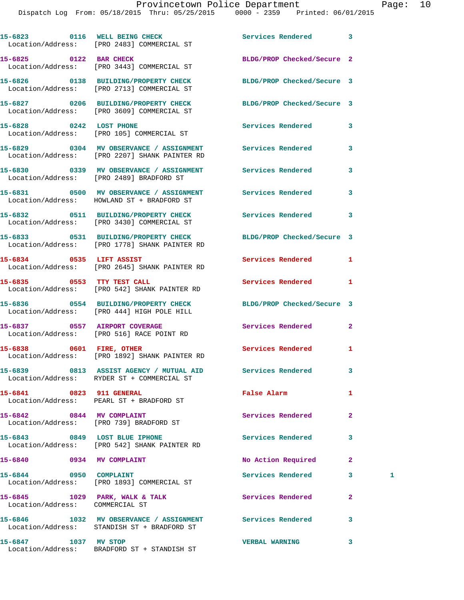|                                 | 15-6823 0116 WELL BEING CHECK<br>Location/Address: [PRO 2483] COMMERCIAL ST                                      | <b>Services Rendered</b>   | 3              |   |
|---------------------------------|------------------------------------------------------------------------------------------------------------------|----------------------------|----------------|---|
| 15-6825 0122 BAR CHECK          | Location/Address: [PRO 3443] COMMERCIAL ST                                                                       | BLDG/PROP Checked/Secure 2 |                |   |
|                                 | 15-6826 0138 BUILDING/PROPERTY CHECK<br>Location/Address: [PRO 2713] COMMERCIAL ST                               | BLDG/PROP Checked/Secure 3 |                |   |
|                                 | 15-6827 0206 BUILDING/PROPERTY CHECK BLDG/PROP Checked/Secure 3<br>Location/Address: [PRO 3609] COMMERCIAL ST    |                            |                |   |
| 15-6828 0242 LOST PHONE         | Location/Address: [PRO 105] COMMERCIAL ST                                                                        | <b>Services Rendered</b>   | 3              |   |
|                                 | 15-6829 0304 MV OBSERVANCE / ASSIGNMENT Services Rendered<br>Location/Address: [PRO 2207] SHANK PAINTER RD       |                            | 3              |   |
|                                 | Location/Address: [PRO 2489] BRADFORD ST                                                                         |                            | 3              |   |
|                                 | 15-6831 0500 MV OBSERVANCE / ASSIGNMENT Services Rendered<br>Location/Address: HOWLAND ST + BRADFORD ST          |                            | 3              |   |
|                                 | 15-6832 0511 BUILDING/PROPERTY CHECK Services Rendered<br>Location/Address: [PRO 3430] COMMERCIAL ST             |                            | 3              |   |
|                                 | 15-6833 0531 BUILDING/PROPERTY CHECK BLDG/PROP Checked/Secure 3<br>Location/Address: [PRO 1778] SHANK PAINTER RD |                            |                |   |
| 15-6834 0535 LIFT ASSIST        | Location/Address: [PRO 2645] SHANK PAINTER RD                                                                    | Services Rendered          | 1              |   |
|                                 | 15-6835 0553 TTY TEST CALL<br>Location/Address: [PRO 542] SHANK PAINTER RD                                       | Services Rendered          | 1              |   |
|                                 | 15-6836 0554 BUILDING/PROPERTY CHECK<br>Location/Address: [PRO 444] HIGH POLE HILL                               | BLDG/PROP Checked/Secure 3 |                |   |
|                                 | 15-6837 0557 AIRPORT COVERAGE<br>Location/Address: [PRO 516] RACE POINT RD                                       | Services Rendered          | $\overline{a}$ |   |
| 15-6838 0601 FIRE, OTHER        | Location/Address: [PRO 1892] SHANK PAINTER RD                                                                    | <b>Services Rendered</b>   | 1              |   |
|                                 | 15-6839 0813 ASSIST AGENCY / MUTUAL AID<br>Location/Address: RYDER ST + COMMERCIAL ST                            | Services Rendered          | 3              |   |
| 15-6841 0823 911 GENERAL        | Location/Address: PEARL ST + BRADFORD ST                                                                         | False Alarm                | 1              |   |
|                                 | 15-6842 0844 MV COMPLAINT<br>Location/Address: [PRO 739] BRADFORD ST                                             | Services Rendered          | $\mathbf{2}$   |   |
| 15-6843 0849 LOST BLUE IPHONE   | Location/Address: [PRO 542] SHANK PAINTER RD                                                                     | Services Rendered          | 3              |   |
| 15-6840 0934 MV COMPLAINT       |                                                                                                                  | No Action Required         | $\mathbf{2}$   |   |
| 15-6844 0950 COMPLAINT          | Location/Address: [PRO 1893] COMMERCIAL ST                                                                       | Services Rendered          | 3              | 1 |
| Location/Address: COMMERCIAL ST | 15-6845 1029 PARK, WALK & TALK                                                                                   | Services Rendered          | $\mathbf{2}$   |   |
|                                 | 15-6846 1032 MV OBSERVANCE / ASSIGNMENT Services Rendered<br>Location/Address: STANDISH ST + BRADFORD ST         |                            | 3              |   |
| 15-6847 1037 MV STOP            |                                                                                                                  | <b>VERBAL WARNING</b>      | 3              |   |

Location/Address: BRADFORD ST + STANDISH ST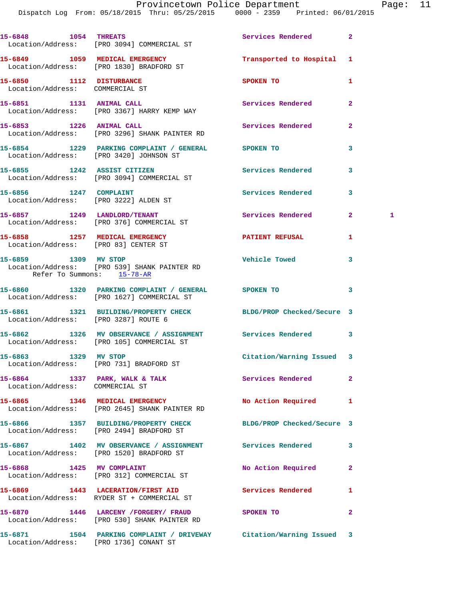Dispatch Log From: 05/18/2015 Thru: 05/25/2015 0000 - 2359 Printed: 06/01/2015

|                                                                        | 15-6848 1054 THREATS<br>Location/Address: [PRO 3094] COMMERCIAL ST                                            | Services Rendered         | $\mathbf{2}$   |   |
|------------------------------------------------------------------------|---------------------------------------------------------------------------------------------------------------|---------------------------|----------------|---|
|                                                                        | 15-6849 1059 MEDICAL EMERGENCY<br>Location/Address: [PRO 1830] BRADFORD ST                                    | Transported to Hospital 1 |                |   |
| 15-6850 1112 DISTURBANCE<br>Location/Address: COMMERCIAL ST            |                                                                                                               | SPOKEN TO                 | 1              |   |
| 15-6851 1131 ANIMAL CALL                                               | Location/Address: [PRO 3367] HARRY KEMP WAY                                                                   | <b>Services Rendered</b>  | $\mathbf{2}$   |   |
|                                                                        | 15-6853 1226 ANIMAL CALL<br>Location/Address: [PRO 3296] SHANK PAINTER RD                                     | Services Rendered         | $\mathbf{2}$   |   |
|                                                                        | 15-6854 1229 PARKING COMPLAINT / GENERAL SPOKEN TO<br>Location/Address: [PRO 3420] JOHNSON ST                 |                           | 3              |   |
|                                                                        | 15-6855 1242 ASSIST CITIZEN<br>Location/Address: [PRO 3094] COMMERCIAL ST                                     | <b>Services Rendered</b>  | 3              |   |
| 15-6856 1247 COMPLAINT                                                 | Location/Address: [PRO 3222] ALDEN ST                                                                         | Services Rendered         | 3              |   |
|                                                                        | 15-6857 1249 LANDLORD/TENANT<br>Location/Address: [PRO 376] COMMERCIAL ST                                     | Services Rendered         | $\mathbf{2}^-$ | 1 |
| 15-6858 1257 MEDICAL EMERGENCY<br>Location/Address: [PRO 83] CENTER ST |                                                                                                               | <b>PATIENT REFUSAL</b>    | 1              |   |
| Refer To Summons: 15-78-AR                                             | 15-6859 1309 MV STOP<br>Location/Address: [PRO 539] SHANK PAINTER RD                                          | <b>Vehicle Towed</b>      | 3              |   |
|                                                                        | 15-6860 1320 PARKING COMPLAINT / GENERAL SPOKEN TO<br>Location/Address: [PRO 1627] COMMERCIAL ST              |                           | 3              |   |
| Location/Address: [PRO 3287] ROUTE 6                                   | 15-6861 1321 BUILDING/PROPERTY CHECK BLDG/PROP Checked/Secure 3                                               |                           |                |   |
|                                                                        | 15-6862 1326 MV OBSERVANCE / ASSIGNMENT Services Rendered<br>Location/Address: [PRO 105] COMMERCIAL ST        |                           | 3              |   |
| 15-6863 1329 MV STOP                                                   | Location/Address: [PRO 731] BRADFORD ST                                                                       | Citation/Warning Issued 3 |                |   |
| Location/Address: COMMERCIAL ST                                        | 15-6864 1337 PARK, WALK & TALK                                                                                | Services Rendered         | $\mathbf{2}$   |   |
|                                                                        | 15-6865 1346 MEDICAL EMERGENCY<br>Location/Address: [PRO 2645] SHANK PAINTER RD                               | No Action Required        | 1              |   |
|                                                                        | 15-6866 1357 BUILDING/PROPERTY CHECK BLDG/PROP Checked/Secure 3<br>Location/Address: [PRO 2494] BRADFORD ST   |                           |                |   |
|                                                                        | 15-6867 1402 MV OBSERVANCE / ASSIGNMENT Services Rendered<br>Location/Address: [PRO 1520] BRADFORD ST         |                           | 3              |   |
|                                                                        | 15-6868 1425 MV COMPLAINT<br>Location/Address: [PRO 312] COMMERCIAL ST                                        | No Action Required        | $\mathbf{2}$   |   |
|                                                                        | 15-6869 1443 LACERATION/FIRST AID<br>Location/Address: RYDER ST + COMMERCIAL ST                               | <b>Services Rendered</b>  | 1              |   |
|                                                                        | 15-6870 1446 LARCENY /FORGERY/ FRAUD<br>Location/Address: [PRO 530] SHANK PAINTER RD                          | SPOKEN TO                 | $\mathbf{2}$   |   |
|                                                                        | 15-6871 1504 PARKING COMPLAINT / DRIVEWAY Citation/Warning Issued 3<br>Location/Address: [PRO 1736] CONANT ST |                           |                |   |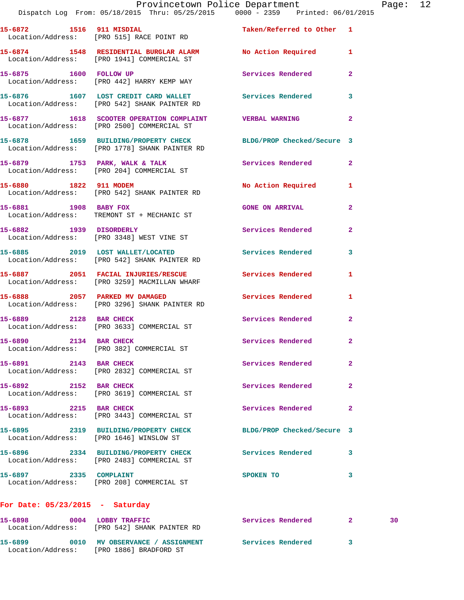| 15-6872 1516 911 MISDIAL                | Location/Address: [PRO 515] RACE POINT RD                                              | Taken/Referred to Other 1  |                         |
|-----------------------------------------|----------------------------------------------------------------------------------------|----------------------------|-------------------------|
|                                         | 15-6874 1548 RESIDENTIAL BURGLAR ALARM<br>Location/Address: [PRO 1941] COMMERCIAL ST   | No Action Required         | 1                       |
|                                         | 15-6875 1600 FOLLOW UP<br>Location/Address: [PRO 442] HARRY KEMP WAY                   | Services Rendered          | 2                       |
|                                         | 15-6876 1607 LOST CREDIT CARD WALLET<br>Location/Address: [PRO 542] SHANK PAINTER RD   | Services Rendered          | 3                       |
|                                         | 15-6877 1618 SCOOTER OPERATION COMPLAINT<br>Location/Address: [PRO 2500] COMMERCIAL ST | <b>VERBAL WARNING</b>      | $\overline{\mathbf{2}}$ |
|                                         | 15-6878 1659 BUILDING/PROPERTY CHECK<br>Location/Address: [PRO 1778] SHANK PAINTER RD  | BLDG/PROP Checked/Secure 3 |                         |
|                                         | 15-6879 1753 PARK, WALK & TALK<br>Location/Address: [PRO 204] COMMERCIAL ST            | Services Rendered          | 2                       |
|                                         | 15-6880 1822 911 MODEM<br>Location/Address: [PRO 542] SHANK PAINTER RD                 | No Action Required         | 1                       |
| 15-6881 1908 BABY FOX                   | Location/Address: TREMONT ST + MECHANIC ST                                             | <b>GONE ON ARRIVAL</b>     | 2                       |
| 15-6882 1939 DISORDERLY                 | Location/Address: [PRO 3348] WEST VINE ST                                              | Services Rendered          | 2                       |
|                                         | 15-6885 2019 LOST WALLET/LOCATED<br>Location/Address: [PRO 542] SHANK PAINTER RD       | <b>Services Rendered</b>   | 3                       |
|                                         | 15-6887 2051 FACIAL INJURIES/RESCUE<br>Location/Address: [PRO 3259] MACMILLAN WHARF    | Services Rendered          | 1                       |
| 15-6888 2057 PARKED MV DAMAGED          | Location/Address: [PRO 3296] SHANK PAINTER RD                                          | Services Rendered          | 1                       |
|                                         | 15-6889 2128 BAR CHECK<br>Location/Address: [PRO 3633] COMMERCIAL ST                   | Services Rendered          | 2                       |
| 15-6890 2134 BAR CHECK                  | Location/Address: [PRO 382] COMMERCIAL ST                                              | Services Rendered          | 2                       |
| 15-6891 2143 BAR CHECK                  | Location/Address: [PRO 2832] COMMERCIAL ST                                             | Services Rendered          | 2                       |
| 15-6892 2152 BAR CHECK                  | Location/Address: [PRO 3619] COMMERCIAL ST                                             | Services Rendered          | 2                       |
| 15-6893 2215 BAR CHECK                  | Location/Address: [PRO 3443] COMMERCIAL ST                                             | Services Rendered          | 2                       |
| Location/Address: [PRO 1646] WINSLOW ST | 15-6895 2319 BUILDING/PROPERTY CHECK                                                   | BLDG/PROP Checked/Secure 3 |                         |
|                                         | 15-6896 2334 BUILDING/PROPERTY CHECK<br>Location/Address: [PRO 2483] COMMERCIAL ST     | Services Rendered          | 3                       |
| 15-6897 2335 COMPLAINT                  | Location/Address: [PRO 208] COMMERCIAL ST                                              | SPOKEN TO                  | 3                       |
| For Date: $05/23/2015$ - Saturday       |                                                                                        |                            |                         |

| 15-6898<br>0004<br>Location/Address: | LOBBY TRAFFIC<br>[PRO 542] SHANK PAINTER RD          | Services Rendered | 30. |
|--------------------------------------|------------------------------------------------------|-------------------|-----|
| 15-6899<br>0010<br>Location/Address: | MV OBSERVANCE / ASSIGNMENT<br>[PRO 1886] BRADFORD ST | Services Rendered |     |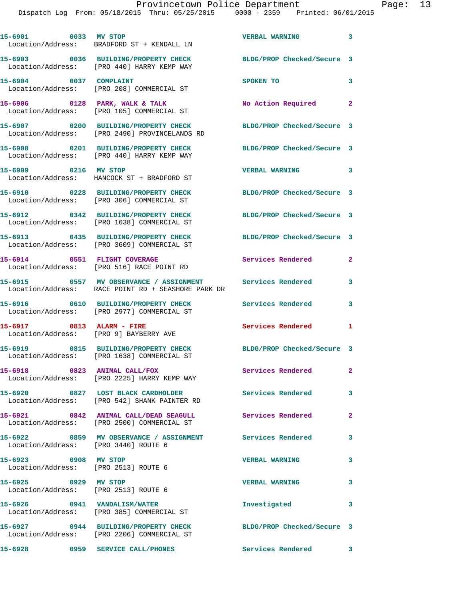| 15-6901 0033 MV STOP                                         | Location/Address: BRADFORD ST + KENDALL LN                                                            | VERBAL WARNING 3                                |                            |
|--------------------------------------------------------------|-------------------------------------------------------------------------------------------------------|-------------------------------------------------|----------------------------|
|                                                              | 15-6903 0036 BUILDING/PROPERTY CHECK<br>Location/Address: [PRO 440] HARRY KEMP WAY                    | BLDG/PROP Checked/Secure 3                      |                            |
|                                                              | 15-6904 0037 COMPLAINT<br>Location/Address: [PRO 208] COMMERCIAL ST                                   | SPOKEN TO                                       | 3                          |
|                                                              | 15-6906 0128 PARK, WALK & TALK<br>Location/Address: [PRO 105] COMMERCIAL ST                           | No Action Required 2                            |                            |
|                                                              | 15-6907 0200 BUILDING/PROPERTY CHECK<br>Location/Address: [PRO 2490] PROVINCELANDS RD                 | BLDG/PROP Checked/Secure 3                      |                            |
|                                                              | 15-6908 0201 BUILDING/PROPERTY CHECK<br>Location/Address: [PRO 440] HARRY KEMP WAY                    | BLDG/PROP Checked/Secure 3                      |                            |
| 15-6909 0216 MV STOP                                         | Location/Address: HANCOCK ST + BRADFORD ST                                                            | $\sim$ $\sim$ $\sim$ 3<br><b>VERBAL WARNING</b> |                            |
|                                                              | 15-6910 0228 BUILDING/PROPERTY CHECK<br>Location/Address: [PRO 306] COMMERCIAL ST                     | BLDG/PROP Checked/Secure 3                      |                            |
|                                                              | 15-6912 0342 BUILDING/PROPERTY CHECK<br>Location/Address: [PRO 1638] COMMERCIAL ST                    | BLDG/PROP Checked/Secure 3                      |                            |
|                                                              | 15-6913 0435 BUILDING/PROPERTY CHECK<br>Location/Address: [PRO 3609] COMMERCIAL ST                    | BLDG/PROP Checked/Secure 3                      |                            |
| 15-6914 0551 FLIGHT COVERAGE                                 | Location/Address: [PRO 516] RACE POINT RD                                                             | Services Rendered                               | $\mathbf{2}$               |
|                                                              |                                                                                                       |                                                 | 3                          |
|                                                              | 15-6916 0610 BUILDING/PROPERTY CHECK<br>Location/Address: [PRO 2977] COMMERCIAL ST                    | Services Rendered                               | 3                          |
|                                                              | 15-6917 0813 ALARM - FIRE<br>Location/Address: [PRO 9] BAYBERRY AVE                                   | Services Rendered                               | 1                          |
|                                                              | 15-6919 0815 BUILDING/PROPERTY CHECK<br>Location/Address: [PRO 1638] COMMERCIAL ST                    | BLDG/PROP Checked/Secure 3                      |                            |
|                                                              | 15-6918 0823 ANIMAL CALL/FOX<br>Location/Address: [PRO 2225] HARRY KEMP WAY                           | Services Rendered                               | $\mathbf{2}^-$             |
|                                                              | 15-6920 0827 LOST BLACK CARDHOLDER<br>Location/Address: [PRO 542] SHANK PAINTER RD                    | <b>Services Rendered</b>                        | $\overline{\phantom{a}}$ 3 |
|                                                              | 15-6921 0842 ANIMAL CALL/DEAD SEAGULL Services Rendered<br>Location/Address: [PRO 2500] COMMERCIAL ST |                                                 | $\mathbf{2}$               |
| Location/Address: [PRO 3440] ROUTE 6                         | 15-6922 0859 MV OBSERVANCE / ASSIGNMENT Services Rendered 3                                           |                                                 |                            |
| 15-6923 0908 MV STOP<br>Location/Address: [PRO 2513] ROUTE 6 |                                                                                                       | <b>VERBAL WARNING</b>                           | $\mathbf{3}$               |
| 15-6925 0929 MV STOP<br>Location/Address: [PRO 2513] ROUTE 6 |                                                                                                       | <b>VERBAL WARNING</b>                           | $\overline{\mathbf{3}}$    |
|                                                              | 15-6926 0941 VANDALISM/WATER<br>Location/Address: [PRO 385] COMMERCIAL ST                             | Investigated                                    | 3                          |
|                                                              | 15-6927 0944 BUILDING/PROPERTY CHECK<br>Location/Address: [PRO 2206] COMMERCIAL ST                    | BLDG/PROP Checked/Secure 3                      |                            |
| 15-6928                                                      | 0959 SERVICE CALL/PHONES                                                                              | Services Rendered 3                             |                            |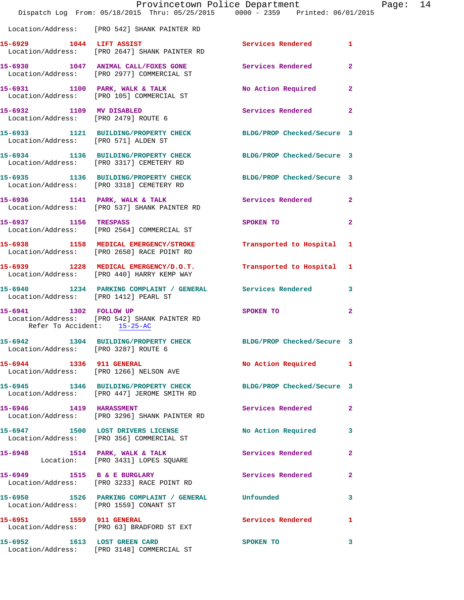|                                                       | Provincetown Police Department<br>Dispatch Log From: 05/18/2015 Thru: 05/25/2015 0000 - 2359 Printed: 06/01/2015 |                            |                |
|-------------------------------------------------------|------------------------------------------------------------------------------------------------------------------|----------------------------|----------------|
|                                                       | Location/Address: [PRO 542] SHANK PAINTER RD                                                                     |                            |                |
|                                                       | 15-6929 1044 LIFT ASSIST<br>Location/Address: [PRO 2647] SHANK PAINTER RD                                        | <b>Services Rendered</b>   | 1              |
|                                                       | 15-6930 1047 ANIMAL CALL/FOXES GONE Services Rendered<br>Location/Address: [PRO 2977] COMMERCIAL ST              |                            | $\overline{a}$ |
|                                                       | 15-6931 1100 PARK, WALK & TALK<br>Location/Address: [PRO 105] COMMERCIAL ST                                      | No Action Required         | $\mathbf{2}$   |
| 15-6932 1109 MV DISABLED                              | Location/Address: [PRO 2479] ROUTE 6                                                                             | Services Rendered          | $\mathbf{2}$   |
|                                                       | 15-6933 1121 BUILDING/PROPERTY CHECK BLDG/PROP Checked/Secure 3<br>Location/Address: [PRO 571] ALDEN ST          |                            |                |
|                                                       | 15-6934 1136 BUILDING/PROPERTY CHECK BLDG/PROP Checked/Secure 3<br>Location/Address: [PRO 3317] CEMETERY RD      |                            |                |
|                                                       | 15-6935 1136 BUILDING/PROPERTY CHECK<br>Location/Address: [PRO 3318] CEMETERY RD                                 | BLDG/PROP Checked/Secure 3 |                |
|                                                       | 15-6936 1141 PARK, WALK & TALK<br>Location/Address: [PRO 537] SHANK PAINTER RD                                   | Services Rendered          | $\mathbf{2}$   |
| 15-6937 1156 TRESPASS                                 | Location/Address: [PRO 2564] COMMERCIAL ST                                                                       | SPOKEN TO                  | $\mathbf{2}$   |
|                                                       | 15-6938 1158 MEDICAL EMERGENCY/STROKE Transported to Hospital<br>Location/Address: [PRO 2650] RACE POINT RD      |                            | 1              |
|                                                       | 15-6939 1228 MEDICAL EMERGENCY/D.O.T. Transported to Hospital<br>Location/Address: [PRO 440] HARRY KEMP WAY      |                            | 1              |
| Location/Address: [PRO 1412] PEARL ST                 | 15-6940 1234 PARKING COMPLAINT / GENERAL Services Rendered                                                       |                            | 3              |
| 15-6941 1302 FOLLOW UP<br>Refer To Accident: 15-25-AC | Location/Address: [PRO 542] SHANK PAINTER RD                                                                     | SPOKEN TO                  | $\overline{a}$ |
| Location/Address: [PRO 3287] ROUTE 6                  | 15-6942 1304 BUILDING/PROPERTY CHECK                                                                             | BLDG/PROP Checked/Secure 3 |                |
| 15-6944 1336 911 GENERAL                              | Location/Address: [PRO 1266] NELSON AVE                                                                          | <b>No Action Required</b>  | 1              |
|                                                       | 15-6945 1346 BUILDING/PROPERTY CHECK BLDG/PROP Checked/Secure 3<br>Location/Address: [PRO 447] JEROME SMITH RD   |                            |                |
| 15-6946 1419 HARASSMENT                               | Location/Address: [PRO 3296] SHANK PAINTER RD                                                                    | <b>Services Rendered</b>   | $\mathbf{2}$   |
|                                                       | 15-6947 1500 LOST DRIVERS LICENSE<br>Location/Address: [PRO 356] COMMERCIAL ST                                   | No Action Required         | 3              |
|                                                       | 15-6948 1514 PARK, WALK & TALK<br>Location: [PRO 3431] LOPES SQUARE                                              | Services Rendered          | $\mathbf{2}$   |
|                                                       | 15-6949 1515 B & E BURGLARY<br>Location/Address: [PRO 3233] RACE POINT RD                                        | Services Rendered          | 2              |
| Location/Address: [PRO 1559] CONANT ST                | 15-6950 1526 PARKING COMPLAINT / GENERAL Unfounded                                                               |                            | 3              |
| 15-6951 1559 911 GENERAL                              | Location/Address: [PRO 63] BRADFORD ST EXT                                                                       | Services Rendered          | 1              |
| 15-6952 1613 LOST GREEN CARD                          | Location/Address: [PRO 3148] COMMERCIAL ST                                                                       | SPOKEN TO                  | 3              |

Page: 14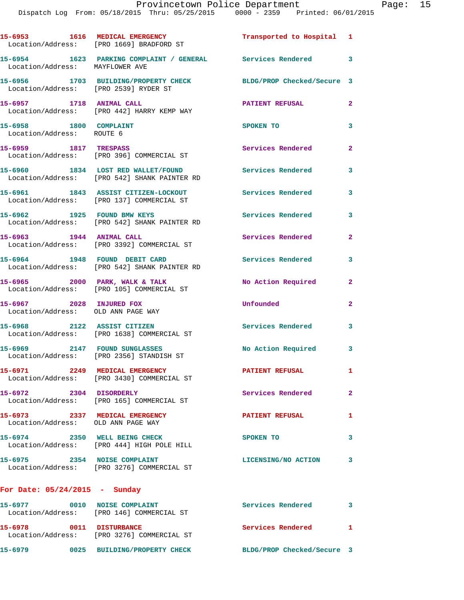|                                                                      | 15-6953 1616 MEDICAL EMERGENCY<br>Location/Address: [PRO 1669] BRADFORD ST         | Transported to Hospital 1  |                |
|----------------------------------------------------------------------|------------------------------------------------------------------------------------|----------------------------|----------------|
| Location/Address: MAYFLOWER AVE                                      | 15-6954 1623 PARKING COMPLAINT / GENERAL Services Rendered 3                       |                            |                |
| Location/Address: [PRO 2539] RYDER ST                                | 15-6956 1703 BUILDING/PROPERTY CHECK                                               | BLDG/PROP Checked/Secure 3 |                |
| 15-6957 1718 ANIMAL CALL                                             | Location/Address: [PRO 442] HARRY KEMP WAY                                         | <b>PATIENT REFUSAL</b>     | $\overline{2}$ |
| 15-6958 1800 COMPLAINT<br>Location/Address: ROUTE 6                  |                                                                                    | SPOKEN TO                  | 3              |
| 15-6959 1817 TRESPASS                                                | Location/Address: [PRO 396] COMMERCIAL ST                                          | Services Rendered          | $\mathbf{2}$   |
|                                                                      | 15-6960 1834 LOST RED WALLET/FOUND<br>Location/Address: [PRO 542] SHANK PAINTER RD | <b>Services Rendered</b>   | 3              |
|                                                                      | 15-6961 1843 ASSIST CITIZEN-LOCKOUT<br>Location/Address: [PRO 137] COMMERCIAL ST   | Services Rendered          | 3              |
|                                                                      | 15-6962 1925 FOUND BMW KEYS<br>Location/Address: [PRO 542] SHANK PAINTER RD        | Services Rendered          | 3              |
| 15-6963 1944 ANIMAL CALL                                             | Location/Address: [PRO 3392] COMMERCIAL ST                                         | Services Rendered          | $\mathbf{2}$   |
|                                                                      | 15-6964 1948 FOUND DEBIT CARD<br>Location/Address: [PRO 542] SHANK PAINTER RD      | Services Rendered          | 3              |
| $15-6965$ 2000 PARK, WALK & TALK                                     | Location/Address: [PRO 105] COMMERCIAL ST                                          | No Action Required         | $\mathbf{2}$   |
| 15-6967 2028 INJURED FOX<br>Location/Address: OLD ANN PAGE WAY       |                                                                                    | Unfounded                  | $\overline{2}$ |
| 15-6968 2122 ASSIST CITIZEN                                          | Location/Address: [PRO 1638] COMMERCIAL ST                                         | Services Rendered          | 3              |
| 15-6969 2147 FOUND SUNGLASSES                                        | Location/Address: [PRO 2356] STANDISH ST                                           | No Action Required 3       |                |
| 15-6971 2249 MEDICAL EMERGENCY                                       | Location/Address: [PRO 3430] COMMERCIAL ST                                         | <b>PATIENT REFUSAL</b>     | $\mathbf{1}$   |
| 15-6972 2304 DISORDERLY                                              | Location/Address: [PRO 165] COMMERCIAL ST                                          | Services Rendered          | $\mathbf{2}$   |
| 15-6973 2337 MEDICAL EMERGENCY<br>Location/Address: OLD ANN PAGE WAY |                                                                                    | <b>PATIENT REFUSAL</b>     | 1              |
|                                                                      | 15-6974 2350 WELL BEING CHECK<br>Location/Address: [PRO 444] HIGH POLE HILL        | SPOKEN TO                  | 3              |
| 15-6975 2354 NOISE COMPLAINT                                         | Location/Address: [PRO 3276] COMMERCIAL ST                                         | LICENSING/NO ACTION        | 3              |
| For Date: $05/24/2015$ - Sunday                                      |                                                                                    |                            |                |
|                                                                      | Location/Address: [PRO 146] COMMERCIAL ST                                          | Services Rendered 3        |                |
|                                                                      |                                                                                    |                            |                |

**15-6978 0011 DISTURBANCE Services Rendered 1**  Location/Address: [PRO 3276] COMMERCIAL ST

**15-6979 0025 BUILDING/PROPERTY CHECK BLDG/PROP Checked/Secure 3**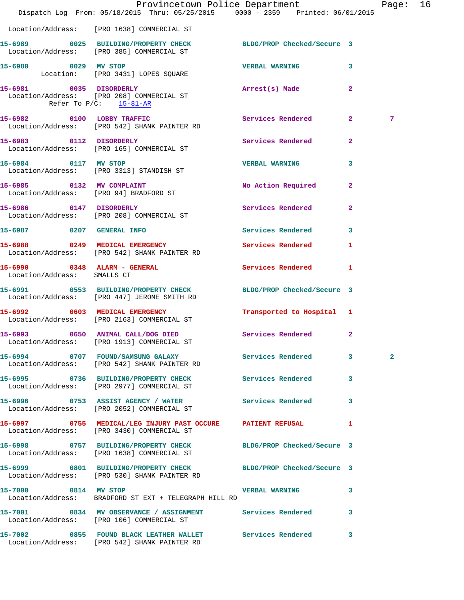|                                                             | Provincetown Police Department<br>Dispatch Log From: 05/18/2015 Thru: 05/25/2015 0000 - 2359 Printed: 06/01/2015 |                           |                | Page: 16     |  |
|-------------------------------------------------------------|------------------------------------------------------------------------------------------------------------------|---------------------------|----------------|--------------|--|
|                                                             | Location/Address: [PRO 1638] COMMERCIAL ST                                                                       |                           |                |              |  |
|                                                             | 15-6989 0025 BUILDING/PROPERTY CHECK BLDG/PROP Checked/Secure 3<br>Location/Address: [PRO 385] COMMERCIAL ST     |                           |                |              |  |
| 15-6980 0029 MV STOP                                        | Location: [PRO 3431] LOPES SQUARE                                                                                | <b>VERBAL WARNING</b>     | 3              |              |  |
| 15-6981 0035 DISORDERLY<br>Refer To $P/C$ : 15-81-AR        | Location/Address: [PRO 208] COMMERCIAL ST                                                                        | Arrest(s) Made            | $\mathbf{2}$   |              |  |
|                                                             | 15-6982 0100 LOBBY TRAFFIC<br>Location/Address: [PRO 542] SHANK PAINTER RD                                       | Services Rendered 2       |                | 7            |  |
| 15-6983 0112 DISORDERLY                                     | Location/Address: [PRO 165] COMMERCIAL ST                                                                        | Services Rendered         | $\overline{a}$ |              |  |
|                                                             | 15-6984 0117 MV STOP<br>Location/Address: [PRO 3313] STANDISH ST                                                 | <b>VERBAL WARNING</b>     | 3              |              |  |
|                                                             | 15-6985 0132 MV COMPLAINT<br>Location/Address: [PRO 94] BRADFORD ST                                              | No Action Required        | $\mathbf{2}$   |              |  |
| 15-6986 0147 DISORDERLY                                     | Location/Address: [PRO 208] COMMERCIAL ST                                                                        | Services Rendered 2       |                |              |  |
|                                                             | 15-6987 0207 GENERAL INFO                                                                                        | <b>Services Rendered</b>  | 3              |              |  |
|                                                             | 15-6988 0249 MEDICAL EMERGENCY<br>Location/Address: [PRO 542] SHANK PAINTER RD                                   | <b>Services Rendered</b>  | $\mathbf{1}$   |              |  |
| 15-6990 0348 ALARM - GENERAL<br>Location/Address: SMALLS CT |                                                                                                                  | Services Rendered 1       |                |              |  |
|                                                             | 15-6991 0553 BUILDING/PROPERTY CHECK BLDG/PROP Checked/Secure 3<br>Location/Address: [PRO 447] JEROME SMITH RD   |                           |                |              |  |
|                                                             | 15-6992 0603 MEDICAL EMERGENCY<br>Location/Address: [PRO 2163] COMMERCIAL ST                                     | Transported to Hospital 1 |                |              |  |
|                                                             | 15-6993 0650 ANIMAL CALL/DOG DIED<br>Location/Address: [PRO 1913] COMMERCIAL ST                                  | Services Rendered 2       |                |              |  |
|                                                             | 15-6994 0707 FOUND/SAMSUNG GALAXY Services Rendered 3<br>Location/Address: [PRO 542] SHANK PAINTER RD            |                           |                | $\mathbf{2}$ |  |
|                                                             | 15-6995 0736 BUILDING/PROPERTY CHECK Services Rendered 3<br>Location/Address: [PRO 2977] COMMERCIAL ST           |                           |                |              |  |
|                                                             | 15-6996 0753 ASSIST AGENCY / WATER Services Rendered<br>Location/Address: [PRO 2052] COMMERCIAL ST               |                           | 3              |              |  |
|                                                             | 15-6997 0755 MEDICAL/LEG INJURY PAST OCCURE PATIENT REFUSAL<br>Location/Address: [PRO 3430] COMMERCIAL ST        |                           | $\mathbf{1}$   |              |  |
|                                                             | 15-6998 0757 BUILDING/PROPERTY CHECK BLDG/PROP Checked/Secure 3<br>Location/Address: [PRO 1638] COMMERCIAL ST    |                           |                |              |  |
|                                                             | 15-6999 0801 BUILDING/PROPERTY CHECK BLDG/PROP Checked/Secure 3<br>Location/Address: [PRO 530] SHANK PAINTER RD  |                           |                |              |  |
|                                                             | 15-7000 0814 MV STOP<br>Location/Address: BRADFORD ST EXT + TELEGRAPH HILL RD                                    | VERBAL WARNING 3          |                |              |  |
|                                                             | 15-7001 0834 MV OBSERVANCE / ASSIGNMENT Services Rendered 3<br>Location/Address: [PRO 106] COMMERCIAL ST         |                           |                |              |  |
|                                                             | 15-7002 0855 FOUND BLACK LEATHER WALLET Services Rendered<br>Location/Address: [PRO 542] SHANK PAINTER RD        |                           | 3              |              |  |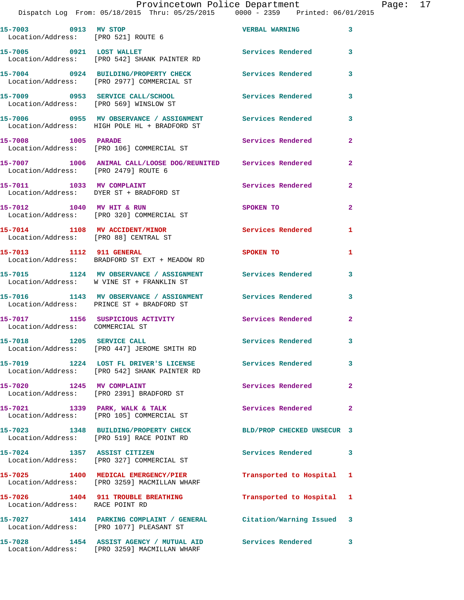| Provincetown Police Department<br>Page: | 17 |
|-----------------------------------------|----|
|-----------------------------------------|----|

Dispatch Log From: 05/18/2015 Thru: 05/25/2015 0000 - 2359 Printed: 06/01/2015

| 15-7003 0913 MV STOP                                                    | Location/Address: [PRO 521] ROUTE 6                                                                            | <b>VERBAL WARNING</b>      | 3                       |
|-------------------------------------------------------------------------|----------------------------------------------------------------------------------------------------------------|----------------------------|-------------------------|
|                                                                         | 15-7005 0921 LOST WALLET<br>Location/Address: [PRO 542] SHANK PAINTER RD                                       | <b>Services Rendered</b>   | $\mathbf{3}$            |
|                                                                         | 15-7004 0924 BUILDING/PROPERTY CHECK<br>Location/Address: [PRO 2977] COMMERCIAL ST                             | Services Rendered          | $\overline{\mathbf{3}}$ |
| Location/Address: [PRO 569] WINSLOW ST                                  | 15-7009 0953 SERVICE CALL/SCHOOL                                                                               | <b>Services Rendered</b>   | 3                       |
|                                                                         | 15-7006 0955 MV OBSERVANCE / ASSIGNMENT Services Rendered<br>Location/Address: HIGH POLE HL + BRADFORD ST      |                            | $\overline{\mathbf{3}}$ |
| 15-7008 1005 PARADE                                                     | Location/Address: [PRO 106] COMMERCIAL ST                                                                      | Services Rendered          | $\mathbf{2}$            |
| Location/Address: [PRO 2479] ROUTE 6                                    | 15-7007 1006 ANIMAL CALL/LOOSE DOG/REUNITED Services Rendered                                                  |                            | $\mathbf{2}$            |
|                                                                         | 15-7011 1033 MV COMPLAINT<br>Location/Address: DYER ST + BRADFORD ST                                           | <b>Services Rendered</b>   | $\mathbf{2}$            |
| 15-7012 1040 MV HIT & RUN                                               | Location/Address: [PRO 320] COMMERCIAL ST                                                                      | SPOKEN TO                  | $\mathbf{2}$            |
| 15-7014 1108 MV ACCIDENT/MINOR<br>Location/Address: [PRO 88] CENTRAL ST |                                                                                                                | <b>Services Rendered</b>   | 1                       |
| 15-7013 1112 911 GENERAL                                                | Location/Address: BRADFORD ST EXT + MEADOW RD                                                                  | SPOKEN TO                  | 1                       |
|                                                                         | 15-7015 1124 MV OBSERVANCE / ASSIGNMENT Services Rendered<br>Location/Address: W VINE ST + FRANKLIN ST         |                            | $\overline{\mathbf{3}}$ |
|                                                                         | 15-7016 1143 MV OBSERVANCE / ASSIGNMENT Services Rendered<br>Location/Address: PRINCE ST + BRADFORD ST         |                            | 3                       |
| Location/Address: COMMERCIAL ST                                         | 15-7017 1156 SUSPICIOUS ACTIVITY 1997 Services Rendered                                                        | $\overline{\phantom{0}}$ 2 |                         |
|                                                                         | 15-7018 1205 SERVICE CALL<br>Location/Address: [PRO 447] JEROME SMITH RD                                       | <b>Services Rendered</b>   | 3                       |
|                                                                         | 15-7019 1224 LOST FL DRIVER'S LICENSE<br>Location/Address: [PRO 542] SHANK PAINTER RD                          | Services Rendered          | $\mathbf{3}$            |
| 15-7020 1245 MV COMPLAINT                                               | Location/Address: [PRO 2391] BRADFORD ST                                                                       | Services Rendered 2        |                         |
|                                                                         | 15-7021 1339 PARK, WALK & TALK<br>Location/Address: [PRO 105] COMMERCIAL ST                                    | <b>Services Rendered</b>   | $\mathbf{2}$            |
|                                                                         | 15-7023 1348 BUILDING/PROPERTY CHECK<br>Location/Address: [PRO 519] RACE POINT RD                              | BLD/PROP CHECKED UNSECUR 3 |                         |
| 15-7024 1357 ASSIST CITIZEN                                             | Location/Address: [PRO 327] COMMERCIAL ST                                                                      | Services Rendered 3        |                         |
|                                                                         | 15-7025 1400 MEDICAL EMERGENCY/PIER<br>Location/Address: [PRO 3259] MACMILLAN WHARF                            | Transported to Hospital 1  |                         |
| Location/Address: RACE POINT RD                                         | 15-7026 1404 911 TROUBLE BREATHING                                                                             | Transported to Hospital 1  |                         |
|                                                                         | 15-7027 1414 PARKING COMPLAINT / GENERAL Citation/Warning Issued 3<br>Location/Address: [PRO 1077] PLEASANT ST |                            |                         |
|                                                                         | 15-7028 1454 ASSIST AGENCY / MUTUAL AID Services Rendered 3<br>Location/Address: [PRO 3259] MACMILLAN WHARF    |                            |                         |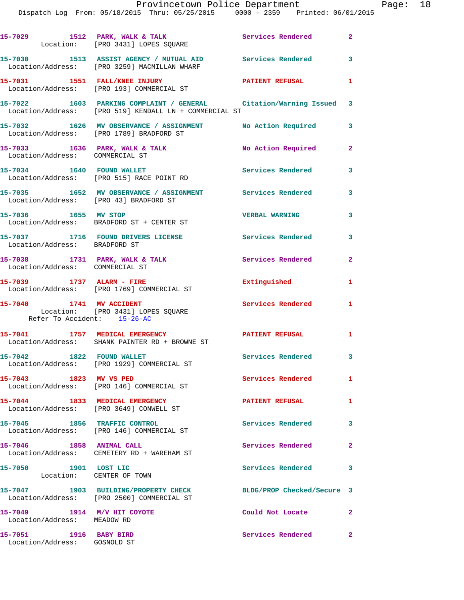| Provincetown Police Department |  |  |                                 |  |  |  |  |  |                                                |  |
|--------------------------------|--|--|---------------------------------|--|--|--|--|--|------------------------------------------------|--|
|                                |  |  | 0000 - 2359 Printed: 06/01/2015 |  |  |  |  |  | Dispatch Log From: 05/18/2015 Thru: 05/25/2015 |  |
|                                |  |  |                                 |  |  |  |  |  |                                                |  |
|                                |  |  |                                 |  |  |  |  |  |                                                |  |

|                                                            | 15-7029 1512 PARK, WALK & TALK<br>Location: [PRO 3431] LOPES SQUARE                                                          | Services Rendered 2        |                |
|------------------------------------------------------------|------------------------------------------------------------------------------------------------------------------------------|----------------------------|----------------|
|                                                            | 15-7030 1513 ASSIST AGENCY / MUTUAL AID Services Rendered 3<br>Location/Address: [PRO 3259] MACMILLAN WHARF                  |                            |                |
|                                                            | 15-7031 1551 FALL/KNEE INJURY<br>Location/Address: [PRO 193] COMMERCIAL ST                                                   | PATIENT REFUSAL            | $\mathbf{1}$   |
|                                                            | 15-7022 1603 PARKING COMPLAINT / GENERAL Citation/Warning Issued 3<br>Location/Address: [PRO 519] KENDALL LN + COMMERCIAL ST |                            |                |
|                                                            | 15-7032 1626 MV OBSERVANCE / ASSIGNMENT No Action Required 3<br>Location/Address: [PRO 1789] BRADFORD ST                     |                            |                |
| Location/Address: COMMERCIAL ST                            | 15-7033 1636 PARK, WALK & TALK                                                                                               | No Action Required         | $\overline{2}$ |
|                                                            | 15-7034 1640 FOUND WALLET<br>Location/Address: [PRO 515] RACE POINT RD                                                       | <b>Services Rendered</b>   | 3              |
| Location/Address: [PRO 43] BRADFORD ST                     | 15-7035 1652 MV OBSERVANCE / ASSIGNMENT Services Rendered                                                                    |                            | 3              |
|                                                            | 15-7036 1655 MV STOP<br>Location/Address: BRADFORD ST + CENTER ST                                                            | <b>VERBAL WARNING</b>      | 3              |
| Location/Address: BRADFORD ST                              | 15-7037 1716 FOUND DRIVERS LICENSE                                                                                           | Services Rendered 3        |                |
| Location/Address: COMMERCIAL ST                            | 15-7038 1731 PARK, WALK & TALK                                                                                               | Services Rendered          | $\overline{2}$ |
| 15-7039 1737 ALARM - FIRE                                  | Location/Address: [PRO 1769] COMMERCIAL ST                                                                                   | Extinguished               | $\mathbf{1}$   |
|                                                            | 15-7040 1741 MV ACCIDENT<br>Location: [PRO 3431] LOPES SQUARE<br>Refer To Accident: 15-26-AC                                 | <b>Services Rendered</b>   | $\mathbf{1}$   |
|                                                            | 15-7041 1757 MEDICAL EMERGENCY<br>Location/Address: SHANK PAINTER RD + BROWNE ST                                             | PATIENT REFUSAL 1          |                |
|                                                            | 15-7042 1822 FOUND WALLET<br>Location/Address: [PRO 1929] COMMERCIAL ST                                                      | Services Rendered 3        |                |
| 15-7043 1823 MV VS PED                                     | Location/Address: [PRO 146] COMMERCIAL ST                                                                                    | Services Rendered          | $\mathbf{1}$   |
| 15-7044 1833 MEDICAL EMERGENCY                             | Location/Address: [PRO 3649] CONWELL ST                                                                                      | <b>PATIENT REFUSAL</b>     | 1              |
| 15-7045 1856 TRAFFIC CONTROL                               | Location/Address: [PRO 146] COMMERCIAL ST                                                                                    | Services Rendered          | 3              |
| 15-7046 1858 ANIMAL CALL                                   | Location/Address: CEMETERY RD + WAREHAM ST                                                                                   | Services Rendered          | $\mathbf{2}$   |
| 15-7050 1901 LOST LIC<br>Location: CENTER OF TOWN          |                                                                                                                              | Services Rendered          | $\mathbf{3}$   |
|                                                            | 15-7047 1903 BUILDING/PROPERTY CHECK<br>Location/Address: [PRO 2500] COMMERCIAL ST                                           | BLDG/PROP Checked/Secure 3 |                |
| 15-7049 1914 M/V HIT COYOTE<br>Location/Address: MEADOW RD |                                                                                                                              | Could Not Locate           | $\mathbf{2}$   |
| 15-7051 1916 BABY BIRD<br>Location/Address: GOSNOLD ST     |                                                                                                                              | Services Rendered          | $\mathbf{2}$   |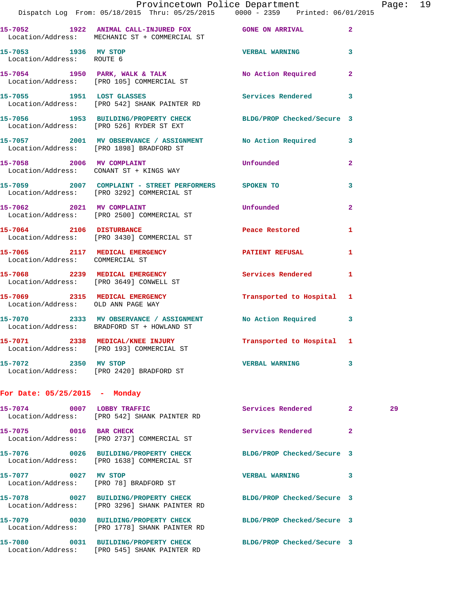|                                                   | Provincetown Police Department<br>Dispatch Log From: 05/18/2015 Thru: 05/25/2015 0000 - 2359 Printed: 06/01/2015 |                            |                | Page: 19 |  |
|---------------------------------------------------|------------------------------------------------------------------------------------------------------------------|----------------------------|----------------|----------|--|
|                                                   | 15-7052 1922 ANIMAL CALL-INJURED FOX GONE ON ARRIVAL 2<br>Location/Address: MECHANIC ST + COMMERCIAL ST          |                            |                |          |  |
| 15-7053 1936 MV STOP<br>Location/Address: ROUTE 6 |                                                                                                                  | <b>VERBAL WARNING</b> 3    |                |          |  |
|                                                   | 15-7054 1950 PARK, WALK & TALK NO Action Required 2<br>Location/Address: [PRO 105] COMMERCIAL ST                 |                            |                |          |  |
|                                                   | 15-7055 1951 LOST GLASSES Services Rendered 3<br>Location/Address: [PRO 542] SHANK PAINTER RD                    |                            |                |          |  |
|                                                   | 15-7056 1953 BUILDING/PROPERTY CHECK BLDG/PROP Checked/Secure 3<br>Location/Address: [PRO 526] RYDER ST EXT      |                            |                |          |  |
|                                                   | 15-7057 2001 MV OBSERVANCE / ASSIGNMENT No Action Required 3<br>Location/Address: [PRO 1898] BRADFORD ST         |                            |                |          |  |
|                                                   | 15-7058 2006 MV COMPLAINT<br>Location/Address: CONANT ST + KINGS WAY                                             | Unfounded                  | $\overline{2}$ |          |  |
|                                                   | 15-7059 2007 COMPLAINT - STREET PERFORMERS SPOKEN TO<br>Location/Address: [PRO 3292] COMMERCIAL ST               |                            | 3              |          |  |
|                                                   | 15-7062 2021 MV COMPLAINT Unfounded<br>Location/Address: [PRO 2500] COMMERCIAL ST                                |                            | $\overline{2}$ |          |  |
|                                                   | 15-7064 2106 DISTURBANCE Peace Restored<br>Location/Address: [PRO 3430] COMMERCIAL ST                            |                            | $\mathbf{1}$   |          |  |
| Location/Address: COMMERCIAL ST                   | 15-7065 2117 MEDICAL EMERGENCY PATIENT REFUSAL 1                                                                 |                            |                |          |  |
|                                                   | 15-7068 2239 MEDICAL EMERGENCY Services Rendered 1<br>Location/Address: [PRO 3649] CONWELL ST                    |                            |                |          |  |
| Location/Address: OLD ANN PAGE WAY                | 15-7069 2315 MEDICAL EMERGENCY Transported to Hospital 1                                                         |                            |                |          |  |
|                                                   | 15-7070 2333 MV OBSERVANCE / ASSIGNMENT No Action Required 3<br>Location/Address: BRADFORD ST + HOWLAND ST       |                            |                |          |  |
|                                                   | 15-7071 2338 MEDICAL/KNEE INJURY Transported to Hospital 1<br>Location/Address: [PRO 193] COMMERCIAL ST          |                            |                |          |  |
| 15-7072 2350 MV STOP                              | Location/Address: [PRO 2420] BRADFORD ST                                                                         | <b>VERBAL WARNING</b>      | 3              |          |  |
| For Date: $05/25/2015$ - Monday                   |                                                                                                                  |                            |                |          |  |
|                                                   | 15-7074 0007 LOBBY TRAFFIC<br>Location/Address: [PRO 542] SHANK PAINTER RD                                       | Services Rendered 2        |                | 29       |  |
| 15-7075 0016 BAR CHECK                            | Location/Address: [PRO 2737] COMMERCIAL ST                                                                       | <b>Services Rendered</b>   | $\mathbf{2}$   |          |  |
|                                                   | 15-7076 0026 BUILDING/PROPERTY CHECK<br>Location/Address: [PRO 1638] COMMERCIAL ST                               | BLDG/PROP Checked/Secure 3 |                |          |  |
| 15-7077 0027 MV STOP                              | Location/Address: [PRO 78] BRADFORD ST                                                                           | VERBAL WARNING 3           |                |          |  |
|                                                   | 15-7078 0027 BUILDING/PROPERTY CHECK BLDG/PROP Checked/Secure 3<br>Location/Address: [PRO 3296] SHANK PAINTER RD |                            |                |          |  |
| 15-7079                                           | 0030 BUILDING/PROPERTY CHECK BLDG/PROP Checked/Secure 3<br>Location/Address: [PRO 1778] SHANK PAINTER RD         |                            |                |          |  |

**15-7080 0031 BUILDING/PROPERTY CHECK BLDG/PROP Checked/Secure 3** 

Location/Address: [PRO 545] SHANK PAINTER RD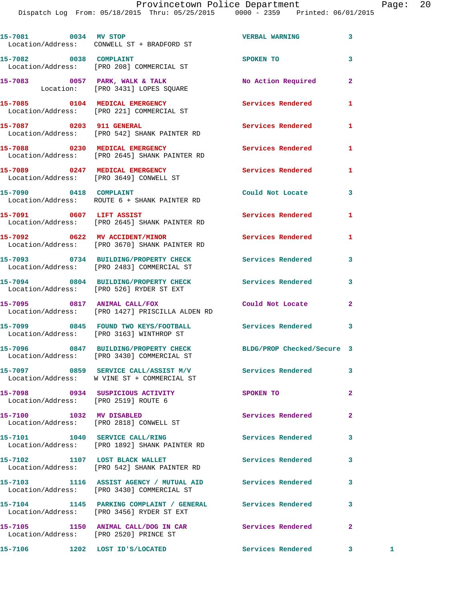Dispatch Log From: 05/18/2015 Thru: 05/25/2015 0000 - 2359 Printed: 06/01/2015

|                                        | 15-7081 0034 MV STOP<br>Location/Address: CONWELL ST + BRADFORD ST                                            | <b>VERBAL WARNING</b>    | 3              |   |
|----------------------------------------|---------------------------------------------------------------------------------------------------------------|--------------------------|----------------|---|
| 15-7082 0038 COMPLAINT                 | Location/Address: [PRO 208] COMMERCIAL ST                                                                     | <b>SPOKEN TO</b>         | 3              |   |
|                                        | 15-7083 0057 PARK, WALK & TALK<br>Location: [PRO 3431] LOPES SQUARE                                           | No Action Required       | $\overline{2}$ |   |
|                                        | 15-7085 0104 MEDICAL EMERGENCY<br>Location/Address: [PRO 221] COMMERCIAL ST                                   | Services Rendered        | 1              |   |
|                                        | 15-7087 0203 911 GENERAL<br>Location/Address: [PRO 542] SHANK PAINTER RD                                      | <b>Services Rendered</b> | 1              |   |
|                                        | 15-7088 0230 MEDICAL EMERGENCY<br>Location/Address: [PRO 2645] SHANK PAINTER RD                               | Services Rendered        | 1              |   |
|                                        | 15-7089 0247 MEDICAL EMERGENCY<br>Location/Address: [PRO 3649] CONWELL ST                                     | Services Rendered        | 1              |   |
|                                        | 15-7090 0418 COMPLAINT<br>Location/Address: ROUTE 6 + SHANK PAINTER RD                                        | Could Not Locate         | 3              |   |
|                                        | 15-7091 0607 LIFT ASSIST<br>Location/Address: [PRO 2645] SHANK PAINTER RD                                     | Services Rendered        | 1              |   |
|                                        | 15-7092 0622 MV ACCIDENT/MINOR<br>Location/Address: [PRO 3670] SHANK PAINTER RD                               | Services Rendered        | 1              |   |
|                                        | 15-7093 0734 BUILDING/PROPERTY CHECK<br>Location/Address: [PRO 2483] COMMERCIAL ST                            | Services Rendered        | 3              |   |
|                                        | 15-7094 0804 BUILDING/PROPERTY CHECK<br>Location/Address: [PRO 526] RYDER ST EXT                              | Services Rendered        | 3              |   |
| 15-7095 0817 ANIMAL CALL/FOX           | Location/Address: [PRO 1427] PRISCILLA ALDEN RD                                                               | Could Not Locate         | $\overline{2}$ |   |
|                                        | 15-7099 0845 FOUND TWO KEYS/FOOTBALL<br>Location/Address: [PRO 3163] WINTHROP ST                              | Services Rendered        | 3              |   |
|                                        | 15-7096 0847 BUILDING/PROPERTY CHECK BLDG/PROP Checked/Secure 3<br>Location/Address: [PRO 3430] COMMERCIAL ST |                          |                |   |
|                                        | 15-7097 0859 SERVICE CALL/ASSIST M/V<br>Location/Address: W VINE ST + COMMERCIAL ST                           | <b>Services Rendered</b> | 3              |   |
|                                        | 15-7098 0934 SUSPICIOUS ACTIVITY<br>Location/Address: [PRO 2519] ROUTE 6                                      | SPOKEN TO                | $\overline{a}$ |   |
|                                        | 15-7100 1032 MV DISABLED<br>Location/Address: [PRO 2818] CONWELL ST                                           | Services Rendered        | $\mathbf{2}$   |   |
|                                        | 15-7101 1040 SERVICE CALL/RING<br>Location/Address: [PRO 1892] SHANK PAINTER RD                               | <b>Services Rendered</b> | 3              |   |
|                                        | 15-7102 1107 LOST BLACK WALLET<br>Location/Address: [PRO 542] SHANK PAINTER RD                                | <b>Services Rendered</b> | 3              |   |
|                                        | 15-7103 1116 ASSIST AGENCY / MUTUAL AID Services Rendered<br>Location/Address: [PRO 3430] COMMERCIAL ST       |                          | 3              |   |
|                                        | 15-7104 1145 PARKING COMPLAINT / GENERAL Services Rendered<br>Location/Address: [PRO 3456] RYDER ST EXT       |                          | 3              |   |
| Location/Address: [PRO 2520] PRINCE ST | 15-7105 1150 ANIMAL CALL/DOG IN CAR Services Rendered                                                         |                          | $\mathbf{2}$   |   |
| 15-7106                                | 1202 LOST ID'S/LOCATED                                                                                        | Services Rendered        | 3              | 1 |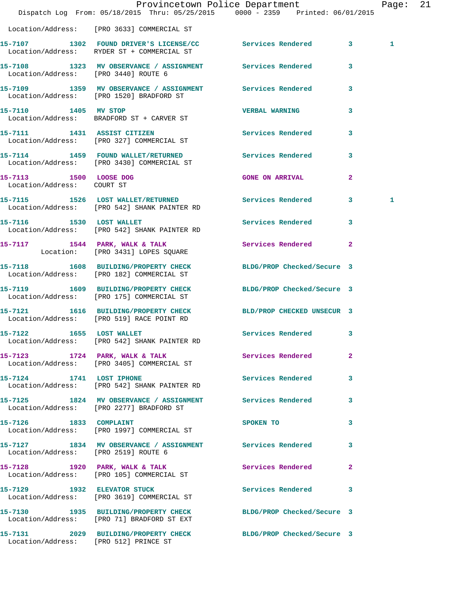|                                                      | Dispatch Log From: 05/18/2015 Thru: 05/25/2015 0000 - 2359 Printed: 06/01/2015                                | Provincetown Police Department |                         | Page: 21 |  |
|------------------------------------------------------|---------------------------------------------------------------------------------------------------------------|--------------------------------|-------------------------|----------|--|
|                                                      | Location/Address: [PRO 3633] COMMERCIAL ST                                                                    |                                |                         |          |  |
|                                                      | 15-7107 1302 FOUND DRIVER'S LICENSE/CC Services Rendered 3<br>Location/Address: RYDER ST + COMMERCIAL ST      |                                |                         | 1        |  |
| Location/Address: [PRO 3440] ROUTE 6                 | 15-7108 1323 MV OBSERVANCE / ASSIGNMENT Services Rendered                                                     |                                | $\overline{\mathbf{3}}$ |          |  |
|                                                      | 15-7109 1359 MV OBSERVANCE / ASSIGNMENT Services Rendered 3<br>Location/Address: [PRO 1520] BRADFORD ST       |                                |                         |          |  |
|                                                      | 15-7110 1405 MV STOP<br>Location/Address: BRADFORD ST + CARVER ST                                             | <b>VERBAL WARNING</b>          | 3                       |          |  |
|                                                      | 15-7111 1431 ASSIST CITIZEN<br>Location/Address: [PRO 327] COMMERCIAL ST                                      | Services Rendered 3            |                         |          |  |
|                                                      | 15-7114 1459 FOUND WALLET/RETURNED Services Rendered<br>Location/Address: [PRO 3430] COMMERCIAL ST            |                                | $\mathbf{3}$            |          |  |
| 15-7113 1500 LOOSE DOG<br>Location/Address: COURT ST |                                                                                                               | <b>GONE ON ARRIVAL</b>         | $\overline{2}$          |          |  |
|                                                      | 15-7115 1526 LOST WALLET/RETURNED Services Rendered 3<br>Location/Address: [PRO 542] SHANK PAINTER RD         |                                |                         | 1        |  |
| 15-7116 1530 LOST WALLET                             | Location/Address: [PRO 542] SHANK PAINTER RD                                                                  | Services Rendered 3            |                         |          |  |
|                                                      | 15-7117 1544 PARK, WALK & TALK<br>Location: [PRO 3431] LOPES SQUARE                                           | Services Rendered 2            |                         |          |  |
|                                                      | 15-7118 1608 BUILDING/PROPERTY CHECK<br>Location/Address: [PRO 182] COMMERCIAL ST                             | BLDG/PROP Checked/Secure 3     |                         |          |  |
|                                                      | 15-7119 1609 BUILDING/PROPERTY CHECK BLDG/PROP Checked/Secure 3<br>Location/Address: [PRO 175] COMMERCIAL ST  |                                |                         |          |  |
|                                                      | 15-7121 1616 BUILDING/PROPERTY CHECK BLD/PROP CHECKED UNSECUR 3<br>Location/Address: [PRO 519] RACE POINT RD  |                                |                         |          |  |
| 1655 LOST WALLET<br>15-7122                          | Location/Address: [PRO 542] SHANK PAINTER RD                                                                  | Services Rendered 3            |                         |          |  |
|                                                      | 15-7123 1724 PARK, WALK & TALK Services Rendered<br>Location/Address: [PRO 3405] COMMERCIAL ST                |                                | $\mathbf{2}$            |          |  |
|                                                      | 15-7124 1741 LOST IPHONE<br>Location/Address: [PRO 542] SHANK PAINTER RD                                      | Services Rendered              | 3                       |          |  |
|                                                      | 15-7125 1824 MV OBSERVANCE / ASSIGNMENT Services Rendered<br>Location/Address: [PRO 2277] BRADFORD ST         |                                | 3                       |          |  |
| 15-7126 1833 COMPLAINT                               | Location/Address: [PRO 1997] COMMERCIAL ST                                                                    | SPOKEN TO                      | 3                       |          |  |
| Location/Address: [PRO 2519] ROUTE 6                 | 15-7127 1834 MV OBSERVANCE / ASSIGNMENT Services Rendered 3                                                   |                                |                         |          |  |
|                                                      | 15-7128 1920 PARK, WALK & TALK<br>Location/Address: [PRO 105] COMMERCIAL ST                                   | Services Rendered 2            |                         |          |  |
|                                                      | 15-7129 1932 ELEVATOR STUCK<br>Location/Address: [PRO 3619] COMMERCIAL ST                                     | Services Rendered 3            |                         |          |  |
|                                                      | 15-7130 1935 BUILDING/PROPERTY CHECK BLDG/PROP Checked/Secure 3<br>Location/Address: [PRO 71] BRADFORD ST EXT |                                |                         |          |  |
| Location/Address: [PRO 512] PRINCE ST                | 15-7131 2029 BUILDING/PROPERTY CHECK BLDG/PROP Checked/Secure 3                                               |                                |                         |          |  |